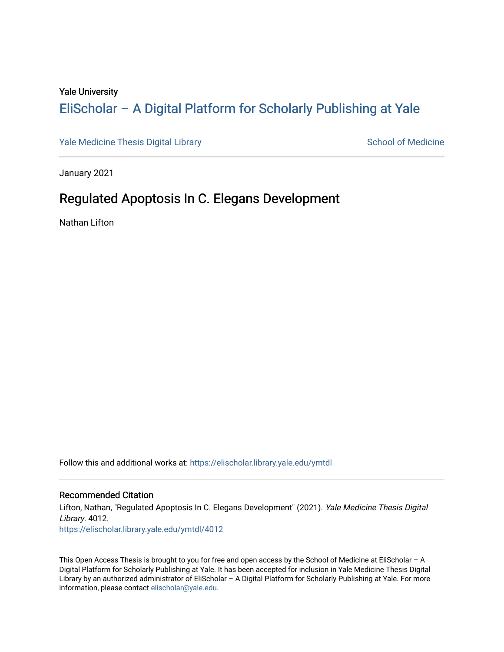#### Yale University

### [EliScholar – A Digital Platform for Scholarly Publishing at Yale](https://elischolar.library.yale.edu/)

[Yale Medicine Thesis Digital Library](https://elischolar.library.yale.edu/ymtdl) National Communication of Medicine

January 2021

### Regulated Apoptosis In C. Elegans Development

Nathan Lifton

Follow this and additional works at: [https://elischolar.library.yale.edu/ymtdl](https://elischolar.library.yale.edu/ymtdl?utm_source=elischolar.library.yale.edu%2Fymtdl%2F4012&utm_medium=PDF&utm_campaign=PDFCoverPages) 

#### Recommended Citation

Lifton, Nathan, "Regulated Apoptosis In C. Elegans Development" (2021). Yale Medicine Thesis Digital Library. 4012. [https://elischolar.library.yale.edu/ymtdl/4012](https://elischolar.library.yale.edu/ymtdl/4012?utm_source=elischolar.library.yale.edu%2Fymtdl%2F4012&utm_medium=PDF&utm_campaign=PDFCoverPages)

This Open Access Thesis is brought to you for free and open access by the School of Medicine at EliScholar – A Digital Platform for Scholarly Publishing at Yale. It has been accepted for inclusion in Yale Medicine Thesis Digital Library by an authorized administrator of EliScholar – A Digital Platform for Scholarly Publishing at Yale. For more information, please contact [elischolar@yale.edu.](mailto:elischolar@yale.edu)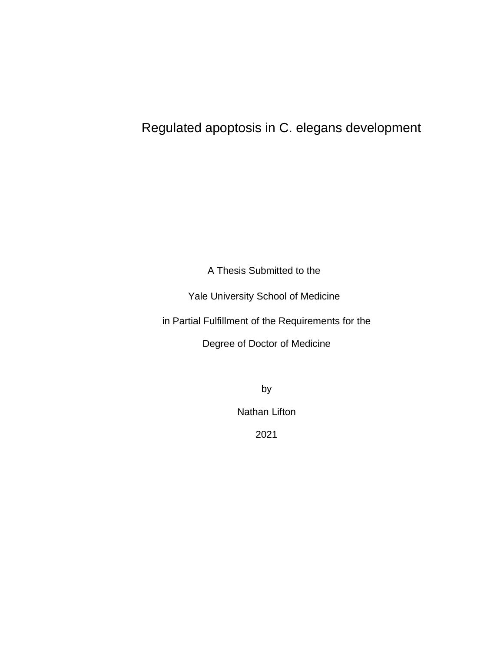## Regulated apoptosis in C. elegans development

A Thesis Submitted to the

Yale University School of Medicine

in Partial Fulfillment of the Requirements for the

Degree of Doctor of Medicine

by

Nathan Lifton

2021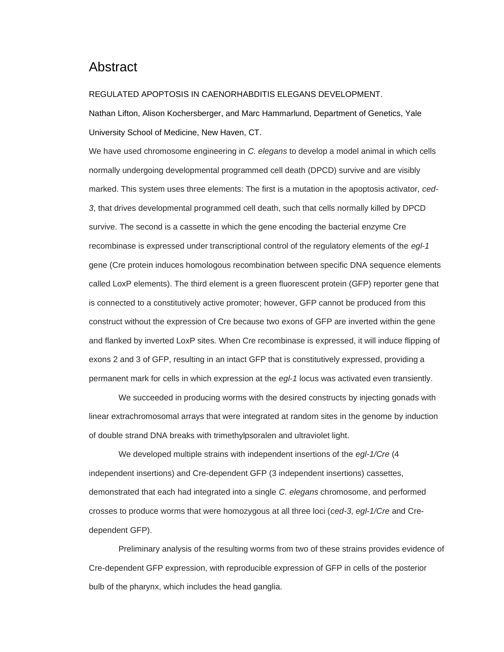### Abstract

#### REGULATED APOPTOSIS IN CAENORHABDITIS ELEGANS DEVELOPMENT.

Nathan Lifton, Alison Kochersberger, and Marc Hammarlund, Department of Genetics, Yale University School of Medicine, New Haven, CT.

We have used chromosome engineering in *C. elegans* to develop a model animal in which cells normally undergoing developmental programmed cell death (DPCD) survive and are visibly marked. This system uses three elements: The first is a mutation in the apoptosis activator, *ced-3*, that drives developmental programmed cell death, such that cells normally killed by DPCD survive. The second is a cassette in which the gene encoding the bacterial enzyme Cre recombinase is expressed under transcriptional control of the regulatory elements of the *egl-1* gene (Cre protein induces homologous recombination between specific DNA sequence elements called LoxP elements). The third element is a green fluorescent protein (GFP) reporter gene that is connected to a constitutively active promoter; however, GFP cannot be produced from this construct without the expression of Cre because two exons of GFP are inverted within the gene and flanked by inverted LoxP sites. When Cre recombinase is expressed, it will induce flipping of exons 2 and 3 of GFP, resulting in an intact GFP that is constitutively expressed, providing a permanent mark for cells in which expression at the *egl-1* locus was activated even transiently.

We succeeded in producing worms with the desired constructs by injecting gonads with linear extrachromosomal arrays that were integrated at random sites in the genome by induction of double strand DNA breaks with trimethylpsoralen and ultraviolet light.

We developed multiple strains with independent insertions of the *egl-1/Cre* (4 independent insertions) and Cre-dependent GFP (3 independent insertions) cassettes, demonstrated that each had integrated into a single *C. elegans* chromosome, and performed crosses to produce worms that were homozygous at all three loci (*ced-3*, *egl-1/Cre* and Credependent GFP).

Preliminary analysis of the resulting worms from two of these strains provides evidence of Cre-dependent GFP expression, with reproducible expression of GFP in cells of the posterior bulb of the pharynx, which includes the head ganglia.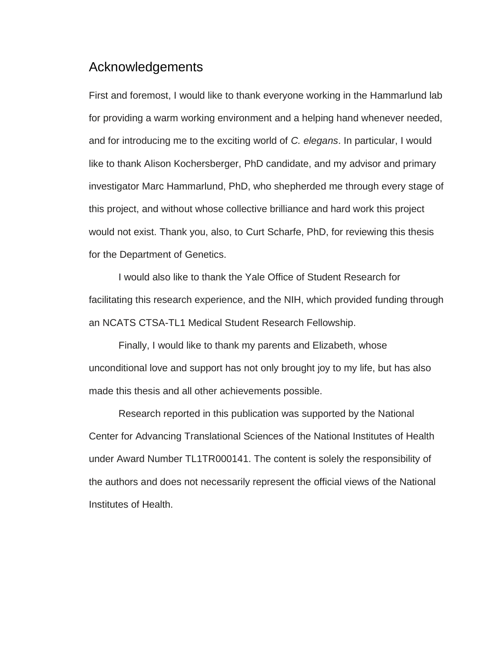### Acknowledgements

First and foremost, I would like to thank everyone working in the Hammarlund lab for providing a warm working environment and a helping hand whenever needed, and for introducing me to the exciting world of *C. elegans*. In particular, I would like to thank Alison Kochersberger, PhD candidate, and my advisor and primary investigator Marc Hammarlund, PhD, who shepherded me through every stage of this project, and without whose collective brilliance and hard work this project would not exist. Thank you, also, to Curt Scharfe, PhD, for reviewing this thesis for the Department of Genetics.

I would also like to thank the Yale Office of Student Research for facilitating this research experience, and the NIH, which provided funding through an NCATS CTSA-TL1 Medical Student Research Fellowship.

Finally, I would like to thank my parents and Elizabeth, whose unconditional love and support has not only brought joy to my life, but has also made this thesis and all other achievements possible.

Research reported in this publication was supported by the National Center for Advancing Translational Sciences of the National Institutes of Health under Award Number TL1TR000141. The content is solely the responsibility of the authors and does not necessarily represent the official views of the National Institutes of Health.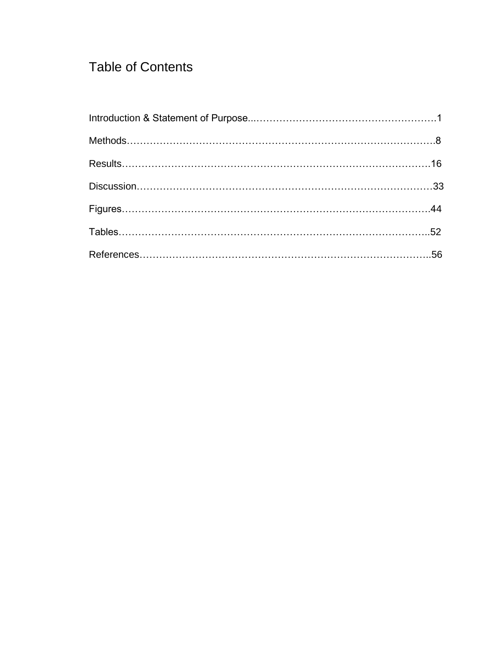## Table of Contents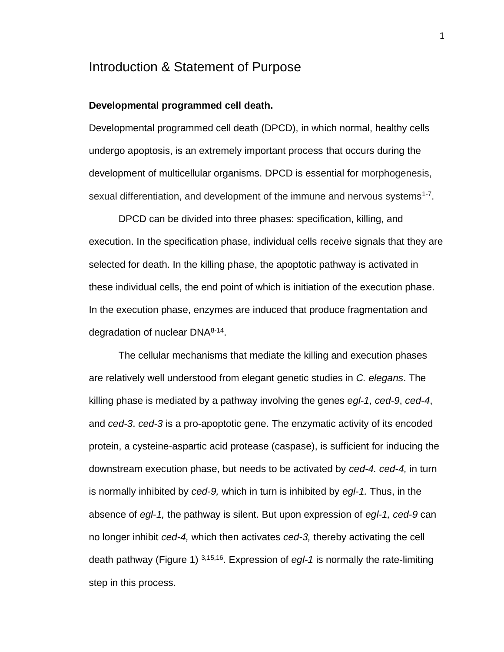### Introduction & Statement of Purpose

#### **Developmental programmed cell death.**

Developmental programmed cell death (DPCD), in which normal, healthy cells undergo apoptosis, is an extremely important process that occurs during the development of multicellular organisms. DPCD is essential for morphogenesis, sexual differentiation, and development of the immune and nervous systems<sup>1-7</sup>.

DPCD can be divided into three phases: specification, killing, and execution. In the specification phase, individual cells receive signals that they are selected for death. In the killing phase, the apoptotic pathway is activated in these individual cells, the end point of which is initiation of the execution phase. In the execution phase, enzymes are induced that produce fragmentation and degradation of nuclear DNA<sup>8-14</sup>.

The cellular mechanisms that mediate the killing and execution phases are relatively well understood from elegant genetic studies in *C. elegans*. The killing phase is mediated by a pathway involving the genes *egl-1*, *ced-9*, *ced-4*, and *ced-3*. *ced-3* is a pro-apoptotic gene. The enzymatic activity of its encoded protein, a cysteine-aspartic acid protease (caspase), is sufficient for inducing the downstream execution phase, but needs to be activated by *ced-4. ced-4,* in turn is normally inhibited by *ced-9,* which in turn is inhibited by *egl-1.* Thus, in the absence of *egl-1,* the pathway is silent. But upon expression of *egl-1, ced-9* can no longer inhibit *ced-4,* which then activates *ced-3,* thereby activating the cell death pathway (Figure 1) 3,15,16 . Expression of *egl-1* is normally the rate-limiting step in this process.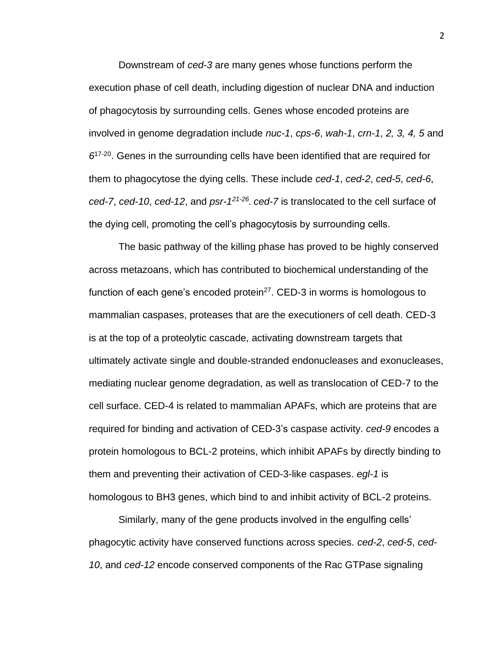Downstream of *ced-3* are many genes whose functions perform the execution phase of cell death, including digestion of nuclear DNA and induction of phagocytosis by surrounding cells. Genes whose encoded proteins are involved in genome degradation include *nuc-1*, *cps-6*, *wah-1*, *crn-1*, *2, 3, 4, 5* and  $6^{17-20}$ . Genes in the surrounding cells have been identified that are required for them to phagocytose the dying cells. These include *ced-1*, *ced-2*, *ced-5*, *ced-6*, *ced-7*, *ced-10*, *ced-12*, and *psr-1 21-26 . ced-7* is translocated to the cell surface of the dying cell, promoting the cell's phagocytosis by surrounding cells.

The basic pathway of the killing phase has proved to be highly conserved across metazoans, which has contributed to biochemical understanding of the function of each gene's encoded protein $^{27}$ . CED-3 in worms is homologous to mammalian caspases, proteases that are the executioners of cell death. CED-3 is at the top of a proteolytic cascade, activating downstream targets that ultimately activate single and double-stranded endonucleases and exonucleases, mediating nuclear genome degradation, as well as translocation of CED-7 to the cell surface. CED-4 is related to mammalian APAFs, which are proteins that are required for binding and activation of CED-3's caspase activity. *ced-9* encodes a protein homologous to BCL-2 proteins, which inhibit APAFs by directly binding to them and preventing their activation of CED-3-like caspases. *egl-1* is homologous to BH3 genes, which bind to and inhibit activity of BCL-2 proteins.

Similarly, many of the gene products involved in the engulfing cells' phagocytic activity have conserved functions across species. *ced-2*, *ced-5*, *ced-10*, and *ced-12* encode conserved components of the Rac GTPase signaling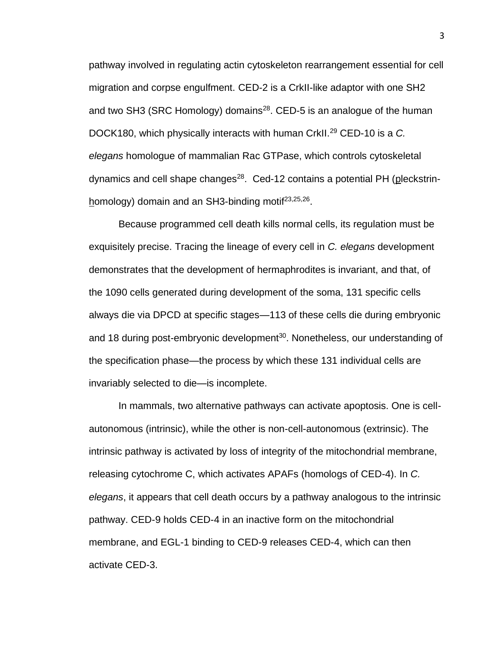pathway involved in regulating actin cytoskeleton rearrangement essential for cell migration and corpse engulfment. CED-2 is a CrkII-like adaptor with one SH2 and two SH3 (SRC Homology) domains<sup>28</sup>. CED-5 is an analogue of the human DOCK180, which physically interacts with human CrkII.<sup>29</sup> CED-10 is a *C. elegans* homologue of mammalian Rac GTPase, which controls cytoskeletal dynamics and cell shape changes<sup>28</sup>. Ced-12 contains a potential PH (pleckstrinhomology) domain and an SH3-binding motif<sup>23,25,26</sup>.

Because programmed cell death kills normal cells, its regulation must be exquisitely precise. Tracing the lineage of every cell in *C. elegans* development demonstrates that the development of hermaphrodites is invariant, and that, of the 1090 cells generated during development of the soma, 131 specific cells always die via DPCD at specific stages—113 of these cells die during embryonic and 18 during post-embryonic development<sup>30</sup>. Nonetheless, our understanding of the specification phase—the process by which these 131 individual cells are invariably selected to die—is incomplete.

In mammals, two alternative pathways can activate apoptosis. One is cellautonomous (intrinsic), while the other is non-cell-autonomous (extrinsic). The intrinsic pathway is activated by loss of integrity of the mitochondrial membrane, releasing cytochrome C, which activates APAFs (homologs of CED-4). In *C. elegans*, it appears that cell death occurs by a pathway analogous to the intrinsic pathway. CED-9 holds CED-4 in an inactive form on the mitochondrial membrane, and EGL-1 binding to CED-9 releases CED-4, which can then activate CED-3.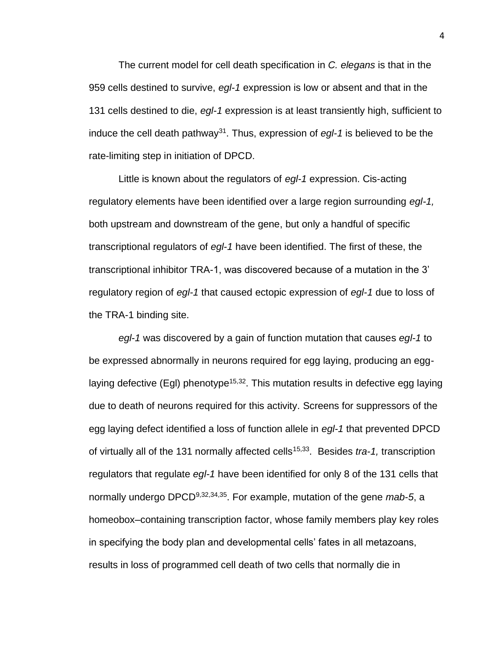The current model for cell death specification in *C. elegans* is that in the 959 cells destined to survive, *egl-1* expression is low or absent and that in the 131 cells destined to die, *egl-1* expression is at least transiently high, sufficient to induce the cell death pathway<sup>31</sup> . Thus, expression of *egl-1* is believed to be the rate-limiting step in initiation of DPCD.

Little is known about the regulators of *egl-1* expression. Cis-acting regulatory elements have been identified over a large region surrounding *egl-1,*  both upstream and downstream of the gene, but only a handful of specific transcriptional regulators of *egl-1* have been identified. The first of these, the transcriptional inhibitor TRA-1, was discovered because of a mutation in the 3' regulatory region of *egl-1* that caused ectopic expression of *egl-1* due to loss of the TRA-1 binding site.

*egl-1* was discovered by a gain of function mutation that causes *egl-1* to be expressed abnormally in neurons required for egg laying, producing an egglaying defective (EgI) phenotype<sup>15,32</sup>. This mutation results in defective egg laying due to death of neurons required for this activity. Screens for suppressors of the egg laying defect identified a loss of function allele in *egl-1* that prevented DPCD of virtually all of the 131 normally affected cells<sup>15,33</sup>. Besides *tra-1*, transcription regulators that regulate *egl-1* have been identified for only 8 of the 131 cells that normally undergo DPCD<sup>9,32,34,35</sup>. For example, mutation of the gene *mab-5*, a homeobox–containing transcription factor, whose family members play key roles in specifying the body plan and developmental cells' fates in all metazoans, results in loss of programmed cell death of two cells that normally die in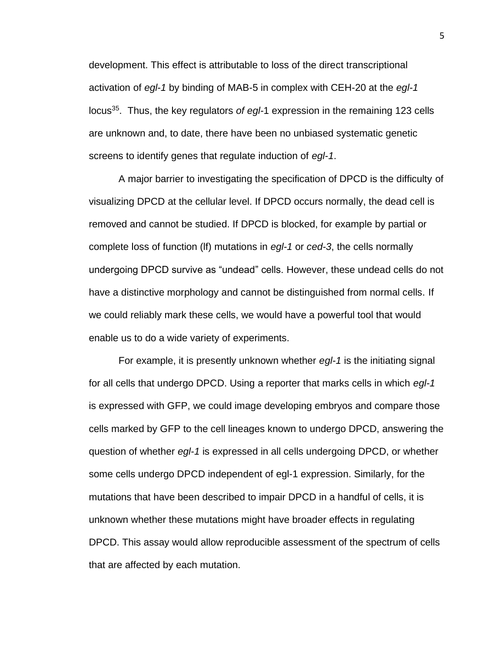development. This effect is attributable to loss of the direct transcriptional activation of *egl-1* by binding of MAB-5 in complex with CEH-20 at the *egl-1*  locus<sup>35</sup>. Thus, the key regulators of egl-1 expression in the remaining 123 cells are unknown and, to date, there have been no unbiased systematic genetic screens to identify genes that regulate induction of *egl-1*.

A major barrier to investigating the specification of DPCD is the difficulty of visualizing DPCD at the cellular level. If DPCD occurs normally, the dead cell is removed and cannot be studied. If DPCD is blocked, for example by partial or complete loss of function (lf) mutations in *egl-1* or *ced-3*, the cells normally undergoing DPCD survive as "undead" cells. However, these undead cells do not have a distinctive morphology and cannot be distinguished from normal cells. If we could reliably mark these cells, we would have a powerful tool that would enable us to do a wide variety of experiments.

For example, it is presently unknown whether *egl-1* is the initiating signal for all cells that undergo DPCD. Using a reporter that marks cells in which *egl-1* is expressed with GFP, we could image developing embryos and compare those cells marked by GFP to the cell lineages known to undergo DPCD, answering the question of whether *egl-1* is expressed in all cells undergoing DPCD, or whether some cells undergo DPCD independent of egl-1 expression. Similarly, for the mutations that have been described to impair DPCD in a handful of cells, it is unknown whether these mutations might have broader effects in regulating DPCD. This assay would allow reproducible assessment of the spectrum of cells that are affected by each mutation.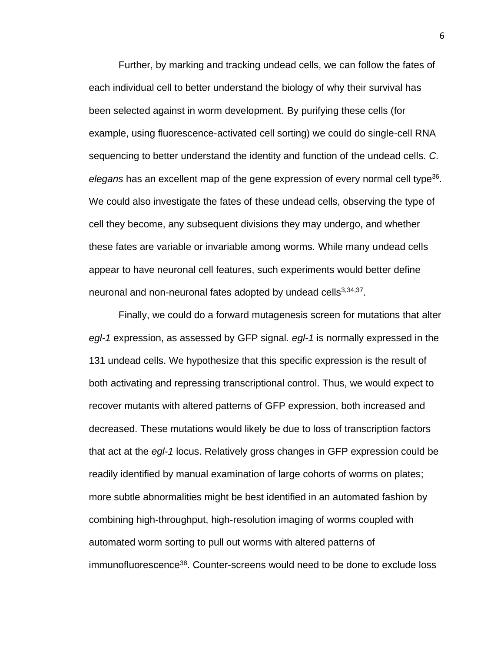Further, by marking and tracking undead cells, we can follow the fates of each individual cell to better understand the biology of why their survival has been selected against in worm development. By purifying these cells (for example, using fluorescence-activated cell sorting) we could do single-cell RNA sequencing to better understand the identity and function of the undead cells. *C.*  elegans has an excellent map of the gene expression of every normal cell type<sup>36</sup>. We could also investigate the fates of these undead cells, observing the type of cell they become, any subsequent divisions they may undergo, and whether these fates are variable or invariable among worms. While many undead cells appear to have neuronal cell features, such experiments would better define neuronal and non-neuronal fates adopted by undead cells<sup>3,34,37</sup>.

Finally, we could do a forward mutagenesis screen for mutations that alter *egl-1* expression, as assessed by GFP signal. *egl-1* is normally expressed in the 131 undead cells. We hypothesize that this specific expression is the result of both activating and repressing transcriptional control. Thus, we would expect to recover mutants with altered patterns of GFP expression, both increased and decreased. These mutations would likely be due to loss of transcription factors that act at the *egl-1* locus. Relatively gross changes in GFP expression could be readily identified by manual examination of large cohorts of worms on plates; more subtle abnormalities might be best identified in an automated fashion by combining high-throughput, high-resolution imaging of worms coupled with automated worm sorting to pull out worms with altered patterns of immunofluorescence<sup>38</sup>. Counter-screens would need to be done to exclude loss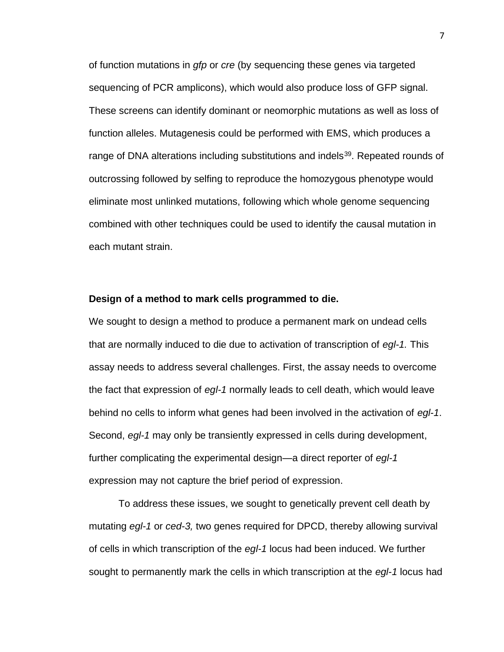of function mutations in *gfp* or *cre* (by sequencing these genes via targeted sequencing of PCR amplicons), which would also produce loss of GFP signal. These screens can identify dominant or neomorphic mutations as well as loss of function alleles. Mutagenesis could be performed with EMS, which produces a range of DNA alterations including substitutions and indels<sup>39</sup>. Repeated rounds of outcrossing followed by selfing to reproduce the homozygous phenotype would eliminate most unlinked mutations, following which whole genome sequencing combined with other techniques could be used to identify the causal mutation in each mutant strain.

#### **Design of a method to mark cells programmed to die.**

We sought to design a method to produce a permanent mark on undead cells that are normally induced to die due to activation of transcription of *egl-1.* This assay needs to address several challenges. First, the assay needs to overcome the fact that expression of *egl-1* normally leads to cell death, which would leave behind no cells to inform what genes had been involved in the activation of *egl-1*. Second, *egl-1* may only be transiently expressed in cells during development, further complicating the experimental design—a direct reporter of *egl-1*  expression may not capture the brief period of expression.

To address these issues, we sought to genetically prevent cell death by mutating *egl-1* or *ced-3,* two genes required for DPCD, thereby allowing survival of cells in which transcription of the *egl-1* locus had been induced. We further sought to permanently mark the cells in which transcription at the *egl-1* locus had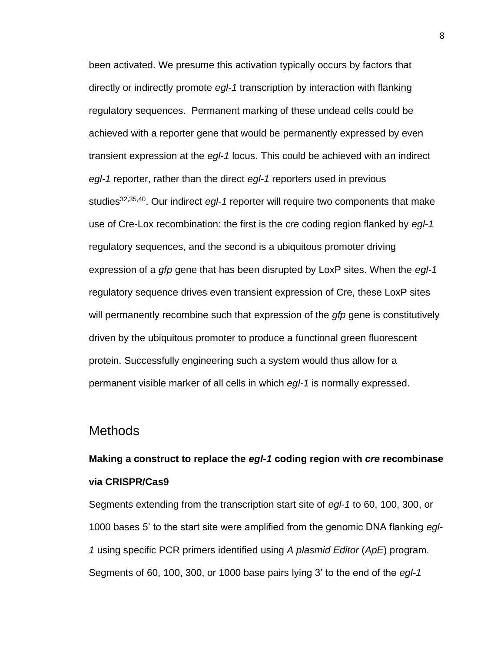been activated. We presume this activation typically occurs by factors that directly or indirectly promote *egl-1* transcription by interaction with flanking regulatory sequences. Permanent marking of these undead cells could be achieved with a reporter gene that would be permanently expressed by even transient expression at the *egl-1* locus. This could be achieved with an indirect *egl-1* reporter, rather than the direct *egl-1* reporters used in previous studies<sup>32,35,40</sup>. Our indirect *egl-1* reporter will require two components that make use of Cre-Lox recombination: the first is the *cre* coding region flanked by *egl-1*  regulatory sequences, and the second is a ubiquitous promoter driving expression of a *gfp* gene that has been disrupted by LoxP sites. When the *egl-1*  regulatory sequence drives even transient expression of Cre, these LoxP sites will permanently recombine such that expression of the *gfp* gene is constitutively driven by the ubiquitous promoter to produce a functional green fluorescent protein. Successfully engineering such a system would thus allow for a permanent visible marker of all cells in which *egl-1* is normally expressed.

### **Methods**

## **Making a construct to replace the** *egl-1* **coding region with** *cre* **recombinase via CRISPR/Cas9**

Segments extending from the transcription start site of *egl-1* to 60, 100, 300, or 1000 bases 5' to the start site were amplified from the genomic DNA flanking *egl-1* using specific PCR primers identified using *A plasmid Editor* (*ApE*) program. Segments of 60, 100, 300, or 1000 base pairs lying 3' to the end of the *egl-1*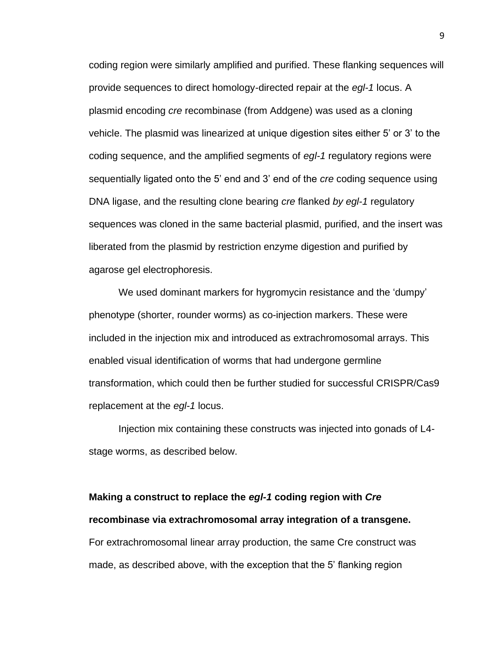coding region were similarly amplified and purified. These flanking sequences will provide sequences to direct homology-directed repair at the *egl-1* locus. A plasmid encoding *cre* recombinase (from Addgene) was used as a cloning vehicle. The plasmid was linearized at unique digestion sites either 5' or 3' to the coding sequence, and the amplified segments of *egl-1* regulatory regions were sequentially ligated onto the 5' end and 3' end of the *cre* coding sequence using DNA ligase, and the resulting clone bearing *cre* flanked *by egl-1* regulatory sequences was cloned in the same bacterial plasmid, purified, and the insert was liberated from the plasmid by restriction enzyme digestion and purified by agarose gel electrophoresis.

We used dominant markers for hygromycin resistance and the 'dumpy' phenotype (shorter, rounder worms) as co-injection markers. These were included in the injection mix and introduced as extrachromosomal arrays. This enabled visual identification of worms that had undergone germline transformation, which could then be further studied for successful CRISPR/Cas9 replacement at the *egl-1* locus.

Injection mix containing these constructs was injected into gonads of L4 stage worms, as described below.

# **Making a construct to replace the** *egl-1* **coding region with** *Cre* **recombinase via extrachromosomal array integration of a transgene.** For extrachromosomal linear array production, the same Cre construct was made, as described above, with the exception that the 5' flanking region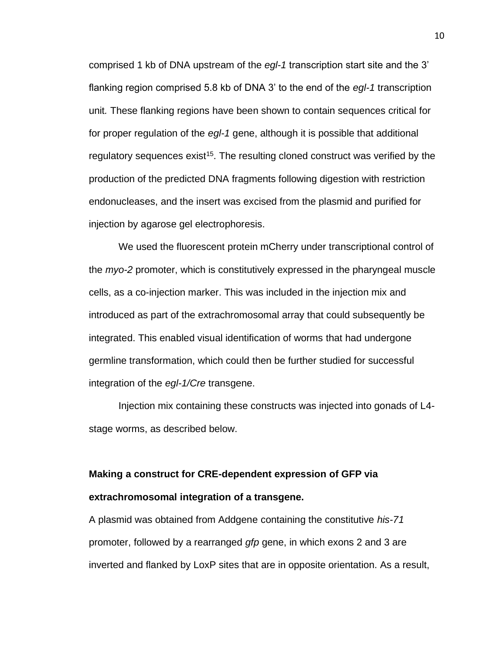comprised 1 kb of DNA upstream of the *egl-1* transcription start site and the 3' flanking region comprised 5.8 kb of DNA 3' to the end of the *egl-1* transcription unit*.* These flanking regions have been shown to contain sequences critical for for proper regulation of the *egl-1* gene, although it is possible that additional regulatory sequences exist<sup>15</sup>. The resulting cloned construct was verified by the production of the predicted DNA fragments following digestion with restriction endonucleases, and the insert was excised from the plasmid and purified for injection by agarose gel electrophoresis.

We used the fluorescent protein mCherry under transcriptional control of the *myo-2* promoter, which is constitutively expressed in the pharyngeal muscle cells, as a co-injection marker. This was included in the injection mix and introduced as part of the extrachromosomal array that could subsequently be integrated. This enabled visual identification of worms that had undergone germline transformation, which could then be further studied for successful integration of the *egl-1/Cre* transgene.

Injection mix containing these constructs was injected into gonads of L4 stage worms, as described below.

## **Making a construct for CRE-dependent expression of GFP via extrachromosomal integration of a transgene.**

A plasmid was obtained from Addgene containing the constitutive *his-71* promoter, followed by a rearranged *gfp* gene, in which exons 2 and 3 are inverted and flanked by LoxP sites that are in opposite orientation. As a result,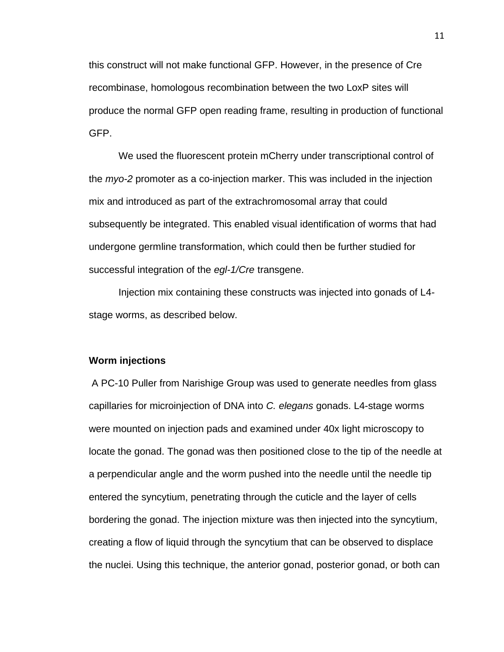this construct will not make functional GFP. However, in the presence of Cre recombinase, homologous recombination between the two LoxP sites will produce the normal GFP open reading frame, resulting in production of functional GFP.

We used the fluorescent protein mCherry under transcriptional control of the *myo-2* promoter as a co-injection marker. This was included in the injection mix and introduced as part of the extrachromosomal array that could subsequently be integrated. This enabled visual identification of worms that had undergone germline transformation, which could then be further studied for successful integration of the *egl-1/Cre* transgene.

Injection mix containing these constructs was injected into gonads of L4 stage worms, as described below.

#### **Worm injections**

A PC-10 Puller from Narishige Group was used to generate needles from glass capillaries for microinjection of DNA into *C. elegans* gonads. L4-stage worms were mounted on injection pads and examined under 40x light microscopy to locate the gonad. The gonad was then positioned close to the tip of the needle at a perpendicular angle and the worm pushed into the needle until the needle tip entered the syncytium, penetrating through the cuticle and the layer of cells bordering the gonad. The injection mixture was then injected into the syncytium, creating a flow of liquid through the syncytium that can be observed to displace the nuclei. Using this technique, the anterior gonad, posterior gonad, or both can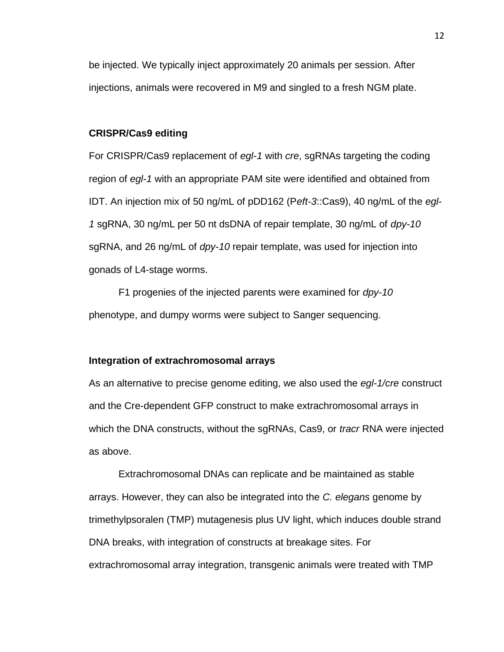be injected. We typically inject approximately 20 animals per session. After injections, animals were recovered in M9 and singled to a fresh NGM plate.

#### **CRISPR/Cas9 editing**

For CRISPR/Cas9 replacement of *egl-1* with *cre*, sgRNAs targeting the coding region of *egl-1* with an appropriate PAM site were identified and obtained from IDT. An injection mix of 50 ng/mL of pDD162 (P*eft-3*::Cas9), 40 ng/mL of the *egl-1* sgRNA, 30 ng/mL per 50 nt dsDNA of repair template, 30 ng/mL of *dpy-10*  sgRNA, and 26 ng/mL of *dpy-10* repair template, was used for injection into gonads of L4-stage worms.

F1 progenies of the injected parents were examined for *dpy-10*  phenotype, and dumpy worms were subject to Sanger sequencing.

#### **Integration of extrachromosomal arrays**

As an alternative to precise genome editing, we also used the *egl-1/cre* construct and the Cre-dependent GFP construct to make extrachromosomal arrays in which the DNA constructs, without the sgRNAs, Cas9, or *tracr* RNA were injected as above.

Extrachromosomal DNAs can replicate and be maintained as stable arrays. However, they can also be integrated into the *C. elegans* genome by trimethylpsoralen (TMP) mutagenesis plus UV light, which induces double strand DNA breaks, with integration of constructs at breakage sites. For extrachromosomal array integration, transgenic animals were treated with TMP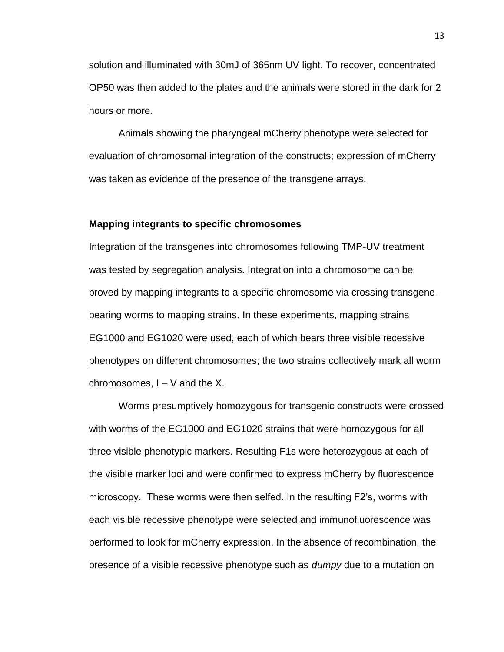solution and illuminated with 30mJ of 365nm UV light. To recover, concentrated OP50 was then added to the plates and the animals were stored in the dark for 2 hours or more.

Animals showing the pharyngeal mCherry phenotype were selected for evaluation of chromosomal integration of the constructs; expression of mCherry was taken as evidence of the presence of the transgene arrays.

#### **Mapping integrants to specific chromosomes**

Integration of the transgenes into chromosomes following TMP-UV treatment was tested by segregation analysis. Integration into a chromosome can be proved by mapping integrants to a specific chromosome via crossing transgenebearing worms to mapping strains. In these experiments, mapping strains EG1000 and EG1020 were used, each of which bears three visible recessive phenotypes on different chromosomes; the two strains collectively mark all worm chromosomes,  $I - V$  and the X.

Worms presumptively homozygous for transgenic constructs were crossed with worms of the EG1000 and EG1020 strains that were homozygous for all three visible phenotypic markers. Resulting F1s were heterozygous at each of the visible marker loci and were confirmed to express mCherry by fluorescence microscopy. These worms were then selfed. In the resulting F2's, worms with each visible recessive phenotype were selected and immunofluorescence was performed to look for mCherry expression. In the absence of recombination, the presence of a visible recessive phenotype such as *dumpy* due to a mutation on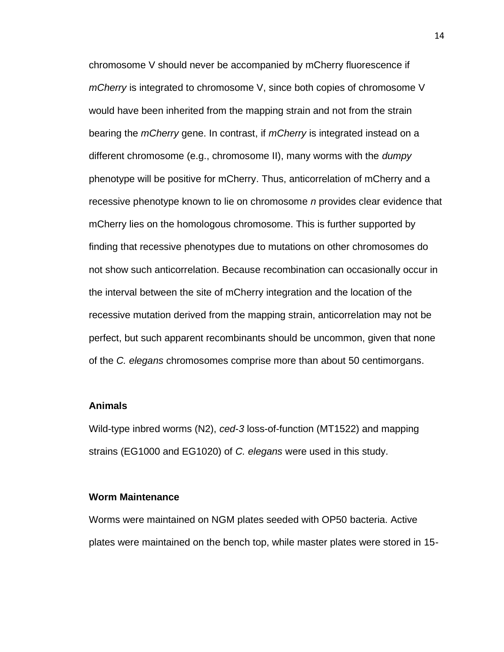chromosome V should never be accompanied by mCherry fluorescence if *mCherry* is integrated to chromosome V, since both copies of chromosome V would have been inherited from the mapping strain and not from the strain bearing the *mCherry* gene. In contrast, if *mCherry* is integrated instead on a different chromosome (e.g., chromosome II), many worms with the *dumpy* phenotype will be positive for mCherry. Thus, anticorrelation of mCherry and a recessive phenotype known to lie on chromosome *n* provides clear evidence that mCherry lies on the homologous chromosome. This is further supported by finding that recessive phenotypes due to mutations on other chromosomes do not show such anticorrelation. Because recombination can occasionally occur in the interval between the site of mCherry integration and the location of the recessive mutation derived from the mapping strain, anticorrelation may not be perfect, but such apparent recombinants should be uncommon, given that none of the *C. elegans* chromosomes comprise more than about 50 centimorgans.

#### **Animals**

Wild-type inbred worms (N2), *ced-3* loss-of-function (MT1522) and mapping strains (EG1000 and EG1020) of *C. elegans* were used in this study.

#### **Worm Maintenance**

Worms were maintained on NGM plates seeded with OP50 bacteria. Active plates were maintained on the bench top, while master plates were stored in 15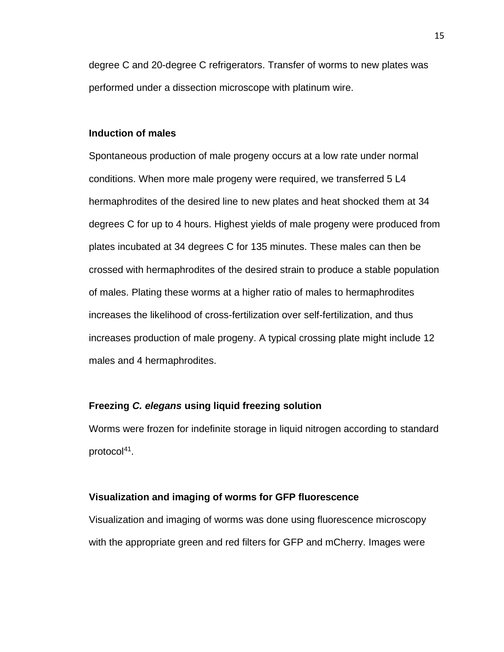degree C and 20-degree C refrigerators. Transfer of worms to new plates was performed under a dissection microscope with platinum wire.

#### **Induction of males**

Spontaneous production of male progeny occurs at a low rate under normal conditions. When more male progeny were required, we transferred 5 L4 hermaphrodites of the desired line to new plates and heat shocked them at 34 degrees C for up to 4 hours. Highest yields of male progeny were produced from plates incubated at 34 degrees C for 135 minutes. These males can then be crossed with hermaphrodites of the desired strain to produce a stable population of males. Plating these worms at a higher ratio of males to hermaphrodites increases the likelihood of cross-fertilization over self-fertilization, and thus increases production of male progeny. A typical crossing plate might include 12 males and 4 hermaphrodites.

#### **Freezing** *C. elegans* **using liquid freezing solution**

Worms were frozen for indefinite storage in liquid nitrogen according to standard protocol<sup>41</sup>.

#### **Visualization and imaging of worms for GFP fluorescence**

Visualization and imaging of worms was done using fluorescence microscopy with the appropriate green and red filters for GFP and mCherry. Images were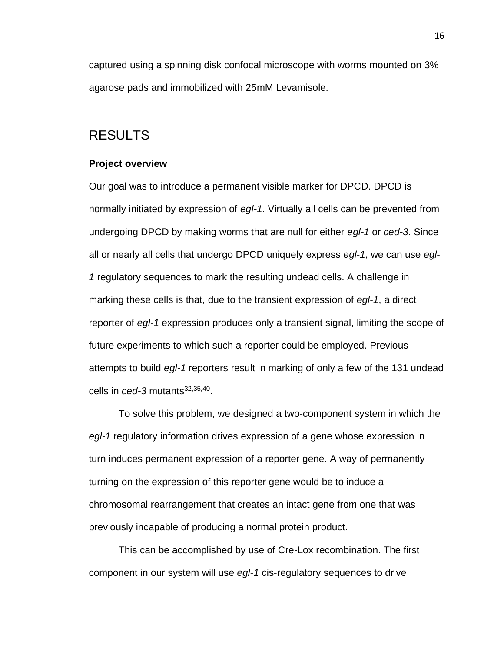captured using a spinning disk confocal microscope with worms mounted on 3% agarose pads and immobilized with 25mM Levamisole.

### RESULTS

#### **Project overview**

Our goal was to introduce a permanent visible marker for DPCD. DPCD is normally initiated by expression of *egl-1*. Virtually all cells can be prevented from undergoing DPCD by making worms that are null for either *egl-1* or *ced-3*. Since all or nearly all cells that undergo DPCD uniquely express *egl-1*, we can use *egl-1* regulatory sequences to mark the resulting undead cells. A challenge in marking these cells is that, due to the transient expression of *egl-1*, a direct reporter of *egl-1* expression produces only a transient signal, limiting the scope of future experiments to which such a reporter could be employed. Previous attempts to build *egl-1* reporters result in marking of only a few of the 131 undead cells in *ced-3* mutants<sup>32,35,40</sup>.

To solve this problem, we designed a two-component system in which the *egl-1* regulatory information drives expression of a gene whose expression in turn induces permanent expression of a reporter gene. A way of permanently turning on the expression of this reporter gene would be to induce a chromosomal rearrangement that creates an intact gene from one that was previously incapable of producing a normal protein product.

This can be accomplished by use of Cre-Lox recombination. The first component in our system will use *egl-1* cis-regulatory sequences to drive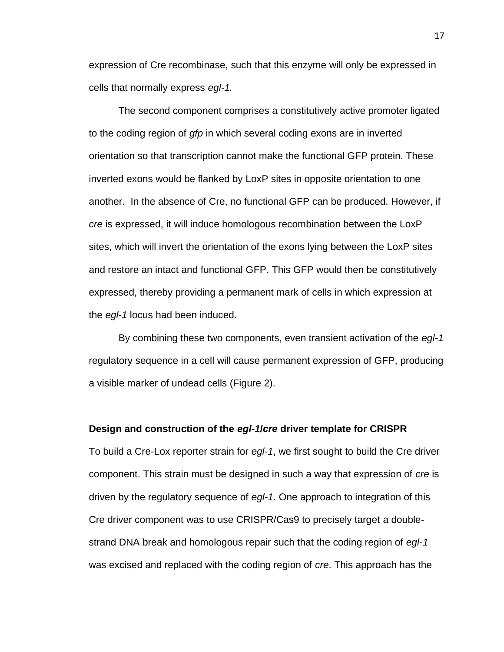expression of Cre recombinase, such that this enzyme will only be expressed in cells that normally express *egl-1.*

The second component comprises a constitutively active promoter ligated to the coding region of *gfp* in which several coding exons are in inverted orientation so that transcription cannot make the functional GFP protein. These inverted exons would be flanked by LoxP sites in opposite orientation to one another. In the absence of Cre, no functional GFP can be produced. However, if *cre* is expressed, it will induce homologous recombination between the LoxP sites, which will invert the orientation of the exons lying between the LoxP sites and restore an intact and functional GFP. This GFP would then be constitutively expressed, thereby providing a permanent mark of cells in which expression at the *egl-1* locus had been induced.

By combining these two components, even transient activation of the *egl-1* regulatory sequence in a cell will cause permanent expression of GFP, producing a visible marker of undead cells (Figure 2).

#### **Design and construction of the** *egl-1***/***cre* **driver template for CRISPR**

To build a Cre-Lox reporter strain for *egl-1*, we first sought to build the Cre driver component. This strain must be designed in such a way that expression of *cre* is driven by the regulatory sequence of *egl-1*. One approach to integration of this Cre driver component was to use CRISPR/Cas9 to precisely target a doublestrand DNA break and homologous repair such that the coding region of *egl-1* was excised and replaced with the coding region of *cre*. This approach has the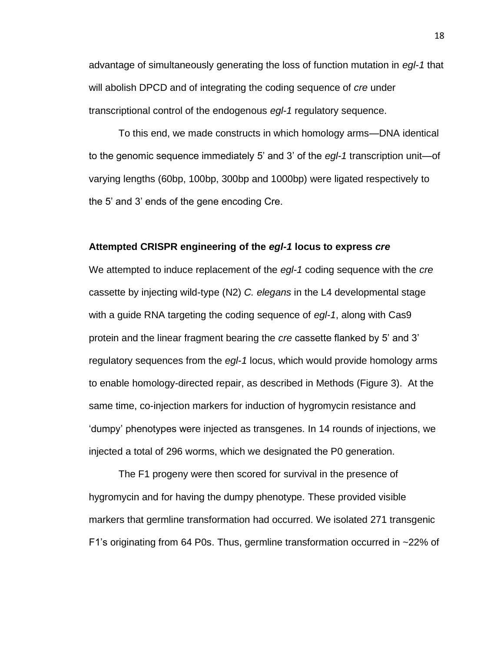advantage of simultaneously generating the loss of function mutation in *egl-1* that will abolish DPCD and of integrating the coding sequence of *cre* under transcriptional control of the endogenous *egl-1* regulatory sequence.

To this end, we made constructs in which homology arms—DNA identical to the genomic sequence immediately 5' and 3' of the *egl-1* transcription unit—of varying lengths (60bp, 100bp, 300bp and 1000bp) were ligated respectively to the 5' and 3' ends of the gene encoding Cre.

#### **Attempted CRISPR engineering of the** *egl-1* **locus to express** *cre*

We attempted to induce replacement of the *egl-1* coding sequence with the *cre* cassette by injecting wild-type (N2) *C. elegans* in the L4 developmental stage with a guide RNA targeting the coding sequence of *egl-1*, along with Cas9 protein and the linear fragment bearing the *cre* cassette flanked by 5' and 3' regulatory sequences from the *egl-1* locus, which would provide homology arms to enable homology-directed repair, as described in Methods (Figure 3). At the same time, co-injection markers for induction of hygromycin resistance and 'dumpy' phenotypes were injected as transgenes. In 14 rounds of injections, we injected a total of 296 worms, which we designated the P0 generation.

The F1 progeny were then scored for survival in the presence of hygromycin and for having the dumpy phenotype. These provided visible markers that germline transformation had occurred. We isolated 271 transgenic F1's originating from 64 P0s. Thus, germline transformation occurred in ~22% of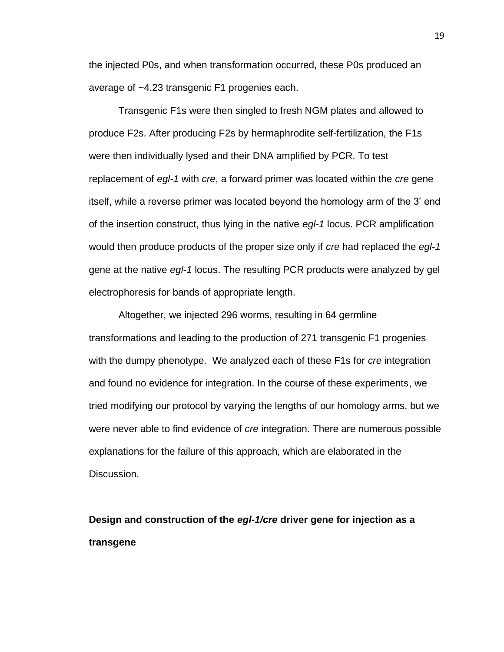the injected P0s, and when transformation occurred, these P0s produced an average of ~4.23 transgenic F1 progenies each.

Transgenic F1s were then singled to fresh NGM plates and allowed to produce F2s. After producing F2s by hermaphrodite self-fertilization, the F1s were then individually lysed and their DNA amplified by PCR. To test replacement of *egl-1* with *cre*, a forward primer was located within the *cre* gene itself, while a reverse primer was located beyond the homology arm of the 3' end of the insertion construct, thus lying in the native *egl-1* locus. PCR amplification would then produce products of the proper size only if *cre* had replaced the *egl-1* gene at the native *egl-1* locus. The resulting PCR products were analyzed by gel electrophoresis for bands of appropriate length.

Altogether, we injected 296 worms, resulting in 64 germline transformations and leading to the production of 271 transgenic F1 progenies with the dumpy phenotype. We analyzed each of these F1s for *cre* integration and found no evidence for integration. In the course of these experiments, we tried modifying our protocol by varying the lengths of our homology arms, but we were never able to find evidence of *cre* integration. There are numerous possible explanations for the failure of this approach, which are elaborated in the Discussion.

**Design and construction of the** *egl-1/cre* **driver gene for injection as a transgene**

19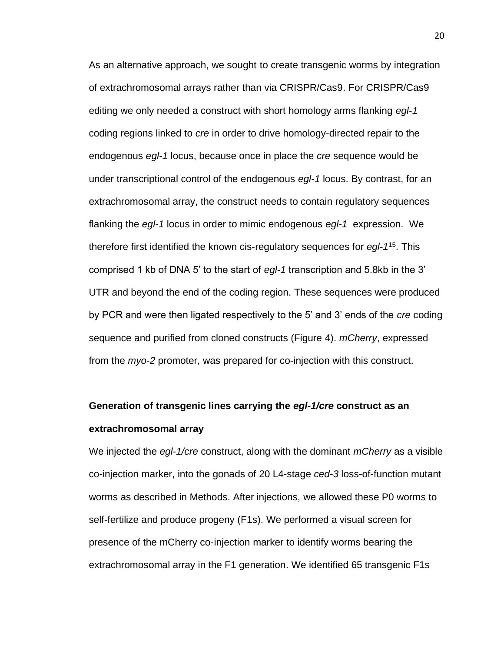As an alternative approach, we sought to create transgenic worms by integration of extrachromosomal arrays rather than via CRISPR/Cas9. For CRISPR/Cas9 editing we only needed a construct with short homology arms flanking *egl-1*  coding regions linked to *cre* in order to drive homology-directed repair to the endogenous *egl-1* locus, because once in place the *cre* sequence would be under transcriptional control of the endogenous *egl-1* locus. By contrast, for an extrachromosomal array, the construct needs to contain regulatory sequences flanking the *egl-1* locus in order to mimic endogenous *egl-1* expression. We therefore first identified the known cis-regulatory sequences for *egl-1* 15 . This comprised 1 kb of DNA 5' to the start of *egl-1* transcription and 5.8kb in the 3' UTR and beyond the end of the coding region. These sequences were produced by PCR and were then ligated respectively to the 5' and 3' ends of the *cre* coding sequence and purified from cloned constructs (Figure 4). *mCherry*, expressed from the *myo-2* promoter, was prepared for co-injection with this construct.

## **Generation of transgenic lines carrying the** *egl-1/cre* **construct as an extrachromosomal array**

We injected the *egl-1/cre* construct, along with the dominant *mCherry* as a visible co-injection marker, into the gonads of 20 L4-stage *ced-3* loss-of-function mutant worms as described in Methods. After injections, we allowed these P0 worms to self-fertilize and produce progeny (F1s). We performed a visual screen for presence of the mCherry co-injection marker to identify worms bearing the extrachromosomal array in the F1 generation. We identified 65 transgenic F1s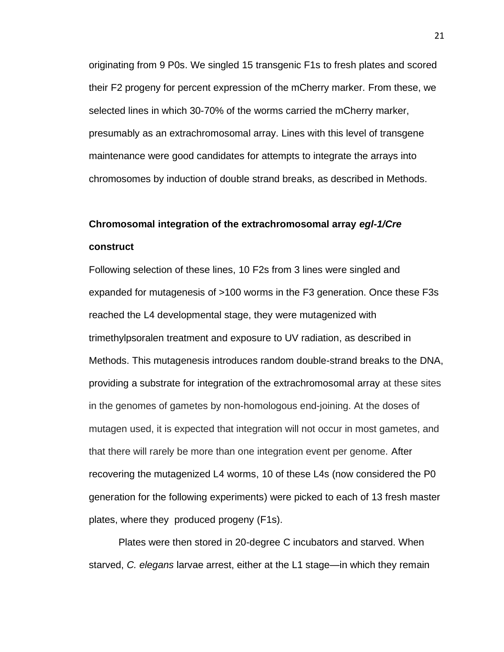originating from 9 P0s. We singled 15 transgenic F1s to fresh plates and scored their F2 progeny for percent expression of the mCherry marker. From these, we selected lines in which 30-70% of the worms carried the mCherry marker, presumably as an extrachromosomal array. Lines with this level of transgene maintenance were good candidates for attempts to integrate the arrays into chromosomes by induction of double strand breaks, as described in Methods.

## **Chromosomal integration of the extrachromosomal array** *egl-1/Cre* **construct**

Following selection of these lines, 10 F2s from 3 lines were singled and expanded for mutagenesis of >100 worms in the F3 generation. Once these F3s reached the L4 developmental stage, they were mutagenized with trimethylpsoralen treatment and exposure to UV radiation, as described in Methods. This mutagenesis introduces random double-strand breaks to the DNA, providing a substrate for integration of the extrachromosomal array at these sites in the genomes of gametes by non-homologous end-joining. At the doses of mutagen used, it is expected that integration will not occur in most gametes, and that there will rarely be more than one integration event per genome. After recovering the mutagenized L4 worms, 10 of these L4s (now considered the P0 generation for the following experiments) were picked to each of 13 fresh master plates, where they produced progeny (F1s).

Plates were then stored in 20-degree C incubators and starved. When starved, *C. elegans* larvae arrest, either at the L1 stage—in which they remain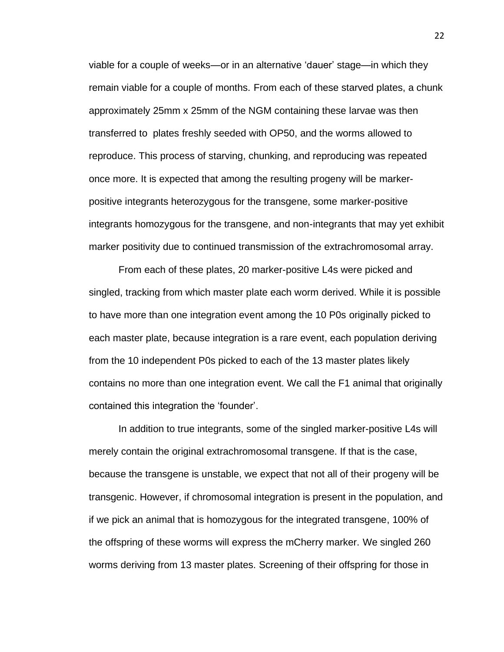viable for a couple of weeks—or in an alternative 'dauer' stage—in which they remain viable for a couple of months. From each of these starved plates, a chunk approximately 25mm x 25mm of the NGM containing these larvae was then transferred to plates freshly seeded with OP50, and the worms allowed to reproduce. This process of starving, chunking, and reproducing was repeated once more. It is expected that among the resulting progeny will be markerpositive integrants heterozygous for the transgene, some marker-positive integrants homozygous for the transgene, and non-integrants that may yet exhibit marker positivity due to continued transmission of the extrachromosomal array.

From each of these plates, 20 marker-positive L4s were picked and singled, tracking from which master plate each worm derived. While it is possible to have more than one integration event among the 10 P0s originally picked to each master plate, because integration is a rare event, each population deriving from the 10 independent P0s picked to each of the 13 master plates likely contains no more than one integration event. We call the F1 animal that originally contained this integration the 'founder'.

In addition to true integrants, some of the singled marker-positive L4s will merely contain the original extrachromosomal transgene. If that is the case, because the transgene is unstable, we expect that not all of their progeny will be transgenic. However, if chromosomal integration is present in the population, and if we pick an animal that is homozygous for the integrated transgene, 100% of the offspring of these worms will express the mCherry marker. We singled 260 worms deriving from 13 master plates. Screening of their offspring for those in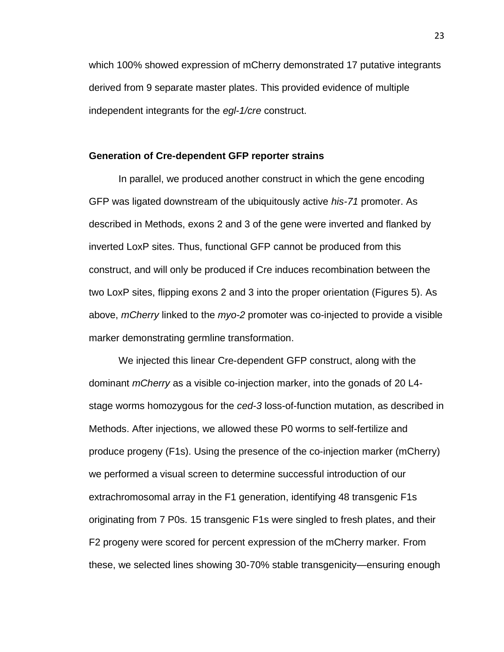which 100% showed expression of mCherry demonstrated 17 putative integrants derived from 9 separate master plates. This provided evidence of multiple independent integrants for the *egl-1/cre* construct.

#### **Generation of Cre-dependent GFP reporter strains**

In parallel, we produced another construct in which the gene encoding GFP was ligated downstream of the ubiquitously active *his-71* promoter. As described in Methods, exons 2 and 3 of the gene were inverted and flanked by inverted LoxP sites. Thus, functional GFP cannot be produced from this construct, and will only be produced if Cre induces recombination between the two LoxP sites, flipping exons 2 and 3 into the proper orientation (Figures 5). As above, *mCherry* linked to the *myo-2* promoter was co-injected to provide a visible marker demonstrating germline transformation.

We injected this linear Cre-dependent GFP construct, along with the dominant *mCherry* as a visible co-injection marker, into the gonads of 20 L4 stage worms homozygous for the *ced-3* loss-of-function mutation, as described in Methods. After injections, we allowed these P0 worms to self-fertilize and produce progeny (F1s). Using the presence of the co-injection marker (mCherry) we performed a visual screen to determine successful introduction of our extrachromosomal array in the F1 generation, identifying 48 transgenic F1s originating from 7 P0s. 15 transgenic F1s were singled to fresh plates, and their F2 progeny were scored for percent expression of the mCherry marker. From these, we selected lines showing 30-70% stable transgenicity—ensuring enough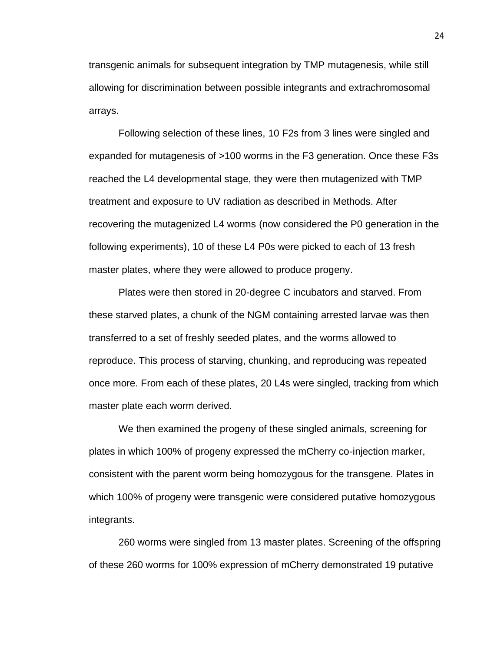transgenic animals for subsequent integration by TMP mutagenesis, while still allowing for discrimination between possible integrants and extrachromosomal arrays.

Following selection of these lines, 10 F2s from 3 lines were singled and expanded for mutagenesis of >100 worms in the F3 generation. Once these F3s reached the L4 developmental stage, they were then mutagenized with TMP treatment and exposure to UV radiation as described in Methods. After recovering the mutagenized L4 worms (now considered the P0 generation in the following experiments), 10 of these L4 P0s were picked to each of 13 fresh master plates, where they were allowed to produce progeny.

Plates were then stored in 20-degree C incubators and starved. From these starved plates, a chunk of the NGM containing arrested larvae was then transferred to a set of freshly seeded plates, and the worms allowed to reproduce. This process of starving, chunking, and reproducing was repeated once more. From each of these plates, 20 L4s were singled, tracking from which master plate each worm derived.

We then examined the progeny of these singled animals, screening for plates in which 100% of progeny expressed the mCherry co-injection marker, consistent with the parent worm being homozygous for the transgene. Plates in which 100% of progeny were transgenic were considered putative homozygous integrants.

260 worms were singled from 13 master plates. Screening of the offspring of these 260 worms for 100% expression of mCherry demonstrated 19 putative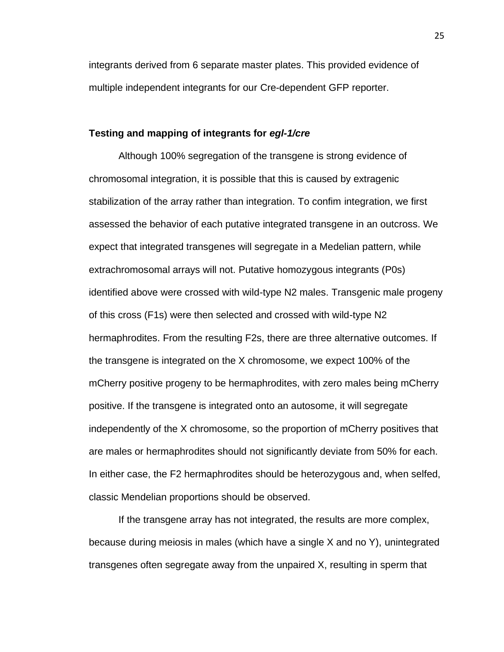integrants derived from 6 separate master plates. This provided evidence of multiple independent integrants for our Cre-dependent GFP reporter.

#### **Testing and mapping of integrants for** *egl-1/cre*

Although 100% segregation of the transgene is strong evidence of chromosomal integration, it is possible that this is caused by extragenic stabilization of the array rather than integration. To confim integration, we first assessed the behavior of each putative integrated transgene in an outcross. We expect that integrated transgenes will segregate in a Medelian pattern, while extrachromosomal arrays will not. Putative homozygous integrants (P0s) identified above were crossed with wild-type N2 males. Transgenic male progeny of this cross (F1s) were then selected and crossed with wild-type N2 hermaphrodites. From the resulting F2s, there are three alternative outcomes. If the transgene is integrated on the X chromosome, we expect 100% of the mCherry positive progeny to be hermaphrodites, with zero males being mCherry positive. If the transgene is integrated onto an autosome, it will segregate independently of the X chromosome, so the proportion of mCherry positives that are males or hermaphrodites should not significantly deviate from 50% for each. In either case, the F2 hermaphrodites should be heterozygous and, when selfed, classic Mendelian proportions should be observed.

If the transgene array has not integrated, the results are more complex, because during meiosis in males (which have a single X and no Y), unintegrated transgenes often segregate away from the unpaired X, resulting in sperm that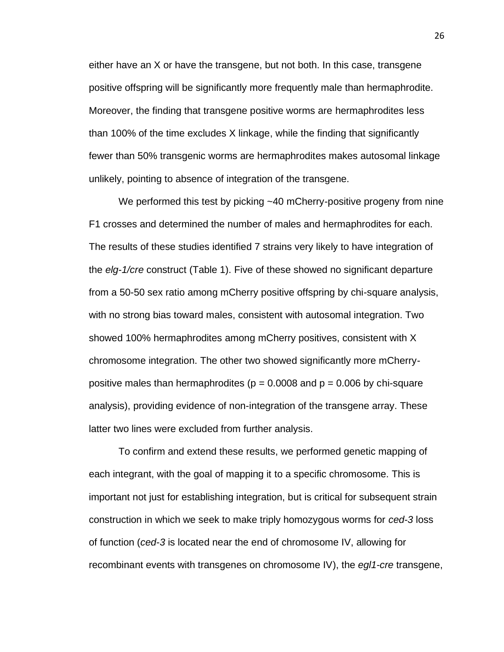either have an X or have the transgene, but not both. In this case, transgene positive offspring will be significantly more frequently male than hermaphrodite. Moreover, the finding that transgene positive worms are hermaphrodites less than 100% of the time excludes X linkage, while the finding that significantly fewer than 50% transgenic worms are hermaphrodites makes autosomal linkage unlikely, pointing to absence of integration of the transgene.

We performed this test by picking ~40 mCherry-positive progeny from nine F1 crosses and determined the number of males and hermaphrodites for each. The results of these studies identified 7 strains very likely to have integration of the *elg-1/cre* construct (Table 1). Five of these showed no significant departure from a 50-50 sex ratio among mCherry positive offspring by chi-square analysis, with no strong bias toward males, consistent with autosomal integration. Two showed 100% hermaphrodites among mCherry positives, consistent with X chromosome integration. The other two showed significantly more mCherrypositive males than hermaphrodites ( $p = 0.0008$  and  $p = 0.006$  by chi-square analysis), providing evidence of non-integration of the transgene array. These latter two lines were excluded from further analysis.

To confirm and extend these results, we performed genetic mapping of each integrant, with the goal of mapping it to a specific chromosome. This is important not just for establishing integration, but is critical for subsequent strain construction in which we seek to make triply homozygous worms for *ced-3* loss of function (*ced-3* is located near the end of chromosome IV, allowing for recombinant events with transgenes on chromosome IV), the *egl1-cre* transgene,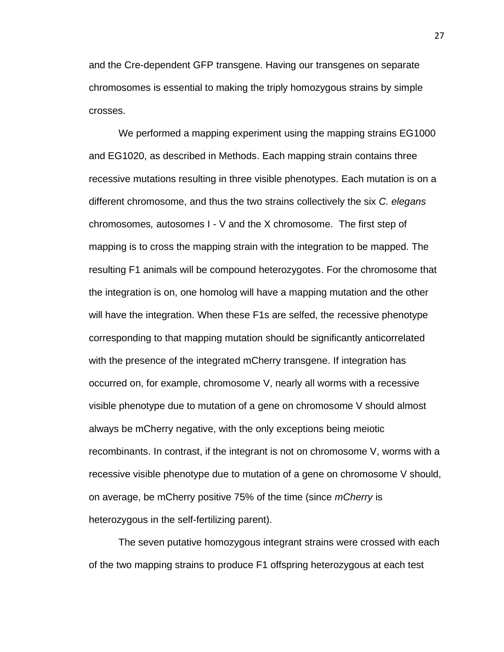and the Cre-dependent GFP transgene. Having our transgenes on separate chromosomes is essential to making the triply homozygous strains by simple crosses.

We performed a mapping experiment using the mapping strains EG1000 and EG1020, as described in Methods. Each mapping strain contains three recessive mutations resulting in three visible phenotypes. Each mutation is on a different chromosome, and thus the two strains collectively the six *C. elegans* chromosomes*,* autosomes I - V and the X chromosome. The first step of mapping is to cross the mapping strain with the integration to be mapped. The resulting F1 animals will be compound heterozygotes. For the chromosome that the integration is on, one homolog will have a mapping mutation and the other will have the integration. When these F1s are selfed, the recessive phenotype corresponding to that mapping mutation should be significantly anticorrelated with the presence of the integrated mCherry transgene. If integration has occurred on, for example, chromosome V, nearly all worms with a recessive visible phenotype due to mutation of a gene on chromosome V should almost always be mCherry negative, with the only exceptions being meiotic recombinants. In contrast, if the integrant is not on chromosome V, worms with a recessive visible phenotype due to mutation of a gene on chromosome V should, on average, be mCherry positive 75% of the time (since *mCherry* is heterozygous in the self-fertilizing parent).

The seven putative homozygous integrant strains were crossed with each of the two mapping strains to produce F1 offspring heterozygous at each test

27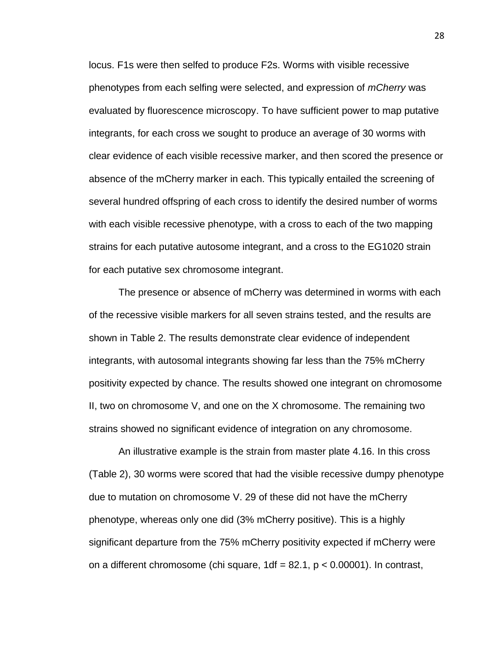locus. F1s were then selfed to produce F2s. Worms with visible recessive phenotypes from each selfing were selected, and expression of *mCherry* was evaluated by fluorescence microscopy. To have sufficient power to map putative integrants, for each cross we sought to produce an average of 30 worms with clear evidence of each visible recessive marker, and then scored the presence or absence of the mCherry marker in each. This typically entailed the screening of several hundred offspring of each cross to identify the desired number of worms with each visible recessive phenotype, with a cross to each of the two mapping strains for each putative autosome integrant, and a cross to the EG1020 strain for each putative sex chromosome integrant.

The presence or absence of mCherry was determined in worms with each of the recessive visible markers for all seven strains tested, and the results are shown in Table 2. The results demonstrate clear evidence of independent integrants, with autosomal integrants showing far less than the 75% mCherry positivity expected by chance. The results showed one integrant on chromosome II, two on chromosome V, and one on the X chromosome. The remaining two strains showed no significant evidence of integration on any chromosome.

An illustrative example is the strain from master plate 4.16. In this cross (Table 2), 30 worms were scored that had the visible recessive dumpy phenotype due to mutation on chromosome V. 29 of these did not have the mCherry phenotype, whereas only one did (3% mCherry positive). This is a highly significant departure from the 75% mCherry positivity expected if mCherry were on a different chromosome (chi square,  $1df = 82.1$ ,  $p < 0.00001$ ). In contrast,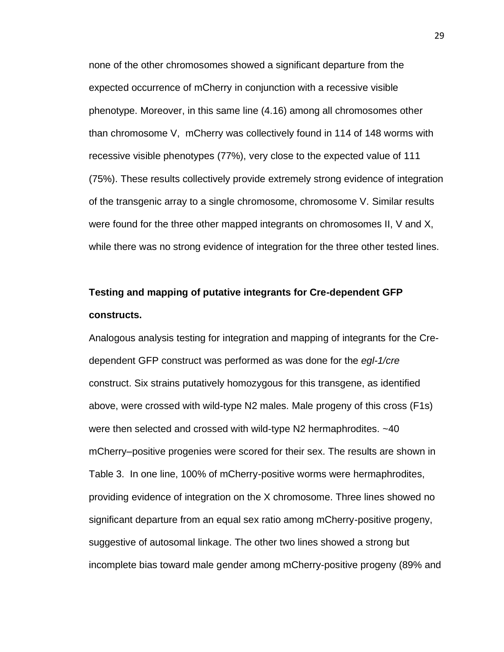none of the other chromosomes showed a significant departure from the expected occurrence of mCherry in conjunction with a recessive visible phenotype. Moreover, in this same line (4.16) among all chromosomes other than chromosome V, mCherry was collectively found in 114 of 148 worms with recessive visible phenotypes (77%), very close to the expected value of 111 (75%). These results collectively provide extremely strong evidence of integration of the transgenic array to a single chromosome, chromosome V. Similar results were found for the three other mapped integrants on chromosomes II, V and X, while there was no strong evidence of integration for the three other tested lines.

## **Testing and mapping of putative integrants for Cre-dependent GFP constructs.**

Analogous analysis testing for integration and mapping of integrants for the Credependent GFP construct was performed as was done for the *egl-1/cre*  construct. Six strains putatively homozygous for this transgene, as identified above, were crossed with wild-type N2 males. Male progeny of this cross (F1s) were then selected and crossed with wild-type N2 hermaphrodites. ~40 mCherry–positive progenies were scored for their sex. The results are shown in Table 3. In one line, 100% of mCherry-positive worms were hermaphrodites, providing evidence of integration on the X chromosome. Three lines showed no significant departure from an equal sex ratio among mCherry-positive progeny, suggestive of autosomal linkage. The other two lines showed a strong but incomplete bias toward male gender among mCherry-positive progeny (89% and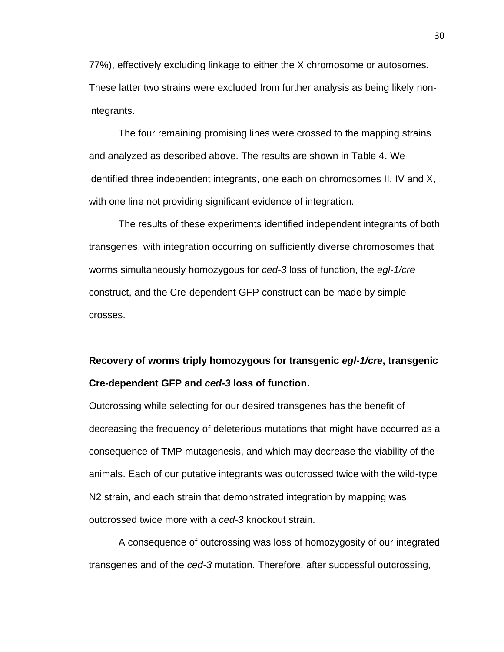77%), effectively excluding linkage to either the X chromosome or autosomes. These latter two strains were excluded from further analysis as being likely nonintegrants.

The four remaining promising lines were crossed to the mapping strains and analyzed as described above. The results are shown in Table 4. We identified three independent integrants, one each on chromosomes II, IV and X, with one line not providing significant evidence of integration.

The results of these experiments identified independent integrants of both transgenes, with integration occurring on sufficiently diverse chromosomes that worms simultaneously homozygous for *ced-3* loss of function, the *egl-1/cre* construct, and the Cre-dependent GFP construct can be made by simple crosses.

## **Recovery of worms triply homozygous for transgenic** *egl-1/cre***, transgenic Cre***-***dependent GFP and** *ced-3* **loss of function.**

Outcrossing while selecting for our desired transgenes has the benefit of decreasing the frequency of deleterious mutations that might have occurred as a consequence of TMP mutagenesis, and which may decrease the viability of the animals. Each of our putative integrants was outcrossed twice with the wild-type N2 strain, and each strain that demonstrated integration by mapping was outcrossed twice more with a *ced-3* knockout strain.

A consequence of outcrossing was loss of homozygosity of our integrated transgenes and of the *ced-3* mutation. Therefore, after successful outcrossing,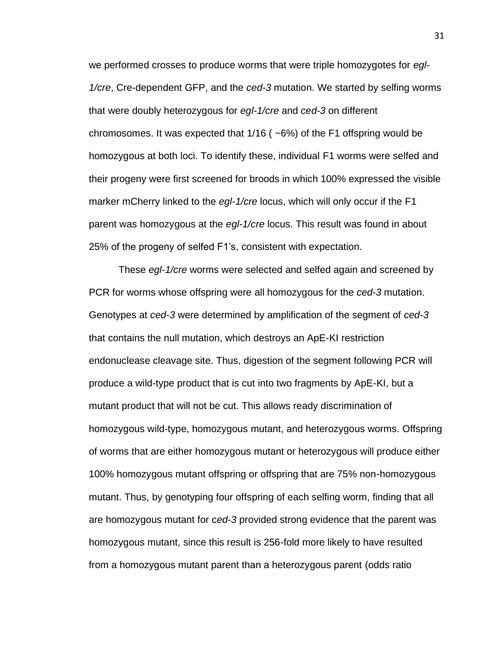we performed crosses to produce worms that were triple homozygotes for *egl-1/cre*, Cre-dependent GFP, and the *ced-3* mutation. We started by selfing worms that were doubly heterozygous for *egl-1/cre* and *ced-3* on different chromosomes. It was expected that  $1/16$  ( $\sim$ 6%) of the F1 offspring would be homozygous at both loci. To identify these, individual F1 worms were selfed and their progeny were first screened for broods in which 100% expressed the visible marker mCherry linked to the *egl-1/cre* locus, which will only occur if the F1 parent was homozygous at the *egl-1/cre* locus. This result was found in about 25% of the progeny of selfed F1's, consistent with expectation.

These *egl-1/cre* worms were selected and selfed again and screened by PCR for worms whose offspring were all homozygous for the *ced-3* mutation. Genotypes at *ced-3* were determined by amplification of the segment of *ced-3* that contains the null mutation, which destroys an ApE-KI restriction endonuclease cleavage site. Thus, digestion of the segment following PCR will produce a wild-type product that is cut into two fragments by ApE-KI, but a mutant product that will not be cut. This allows ready discrimination of homozygous wild-type, homozygous mutant, and heterozygous worms. Offspring of worms that are either homozygous mutant or heterozygous will produce either 100% homozygous mutant offspring or offspring that are 75% non-homozygous mutant. Thus, by genotyping four offspring of each selfing worm, finding that all are homozygous mutant for c*ed-3* provided strong evidence that the parent was homozygous mutant, since this result is 256-fold more likely to have resulted from a homozygous mutant parent than a heterozygous parent (odds ratio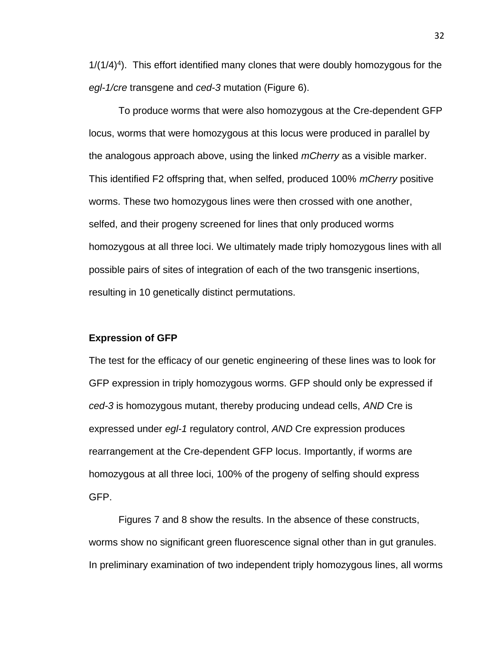$1/(1/4)^4$ ). This effort identified many clones that were doubly homozygous for the *egl-1/cre* transgene and *ced-3* mutation (Figure 6).

To produce worms that were also homozygous at the Cre-dependent GFP locus, worms that were homozygous at this locus were produced in parallel by the analogous approach above, using the linked *mCherry* as a visible marker. This identified F2 offspring that, when selfed, produced 100% *mCherry* positive worms. These two homozygous lines were then crossed with one another, selfed, and their progeny screened for lines that only produced worms homozygous at all three loci. We ultimately made triply homozygous lines with all possible pairs of sites of integration of each of the two transgenic insertions, resulting in 10 genetically distinct permutations.

#### **Expression of GFP**

The test for the efficacy of our genetic engineering of these lines was to look for GFP expression in triply homozygous worms. GFP should only be expressed if *ced-3* is homozygous mutant, thereby producing undead cells, *AND* Cre is expressed under *egl-1* regulatory control, *AND* Cre expression produces rearrangement at the Cre-dependent GFP locus. Importantly, if worms are homozygous at all three loci, 100% of the progeny of selfing should express GFP.

Figures 7 and 8 show the results. In the absence of these constructs, worms show no significant green fluorescence signal other than in gut granules. In preliminary examination of two independent triply homozygous lines, all worms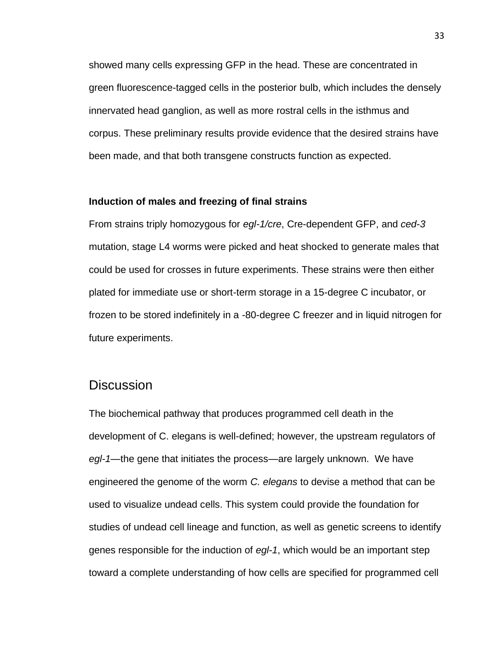showed many cells expressing GFP in the head. These are concentrated in green fluorescence-tagged cells in the posterior bulb, which includes the densely innervated head ganglion, as well as more rostral cells in the isthmus and corpus. These preliminary results provide evidence that the desired strains have been made, and that both transgene constructs function as expected.

#### **Induction of males and freezing of final strains**

From strains triply homozygous for *egl-1/cre*, Cre-dependent GFP, and *ced-3* mutation, stage L4 worms were picked and heat shocked to generate males that could be used for crosses in future experiments. These strains were then either plated for immediate use or short-term storage in a 15-degree C incubator, or frozen to be stored indefinitely in a -80-degree C freezer and in liquid nitrogen for future experiments.

### **Discussion**

The biochemical pathway that produces programmed cell death in the development of C. elegans is well-defined; however, the upstream regulators of *egl-1*—the gene that initiates the process—are largely unknown. We have engineered the genome of the worm *C. elegans* to devise a method that can be used to visualize undead cells. This system could provide the foundation for studies of undead cell lineage and function, as well as genetic screens to identify genes responsible for the induction of *egl-1*, which would be an important step toward a complete understanding of how cells are specified for programmed cell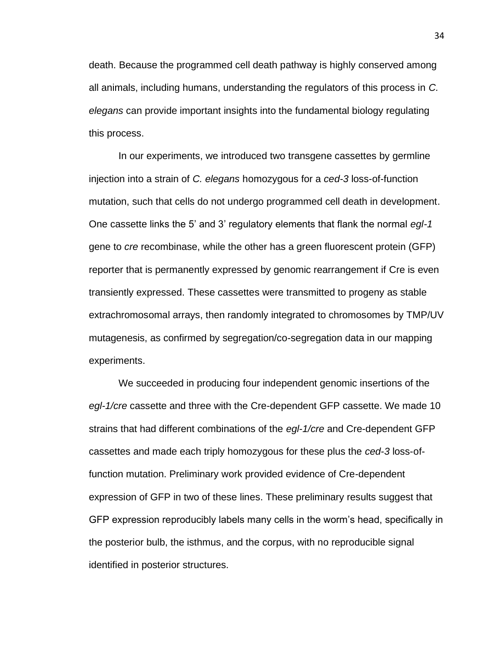death. Because the programmed cell death pathway is highly conserved among all animals, including humans, understanding the regulators of this process in *C. elegans* can provide important insights into the fundamental biology regulating this process.

In our experiments, we introduced two transgene cassettes by germline injection into a strain of *C. elegans* homozygous for a *ced-3* loss-of-function mutation, such that cells do not undergo programmed cell death in development. One cassette links the 5' and 3' regulatory elements that flank the normal *egl-1*  gene to *cre* recombinase, while the other has a green fluorescent protein (GFP) reporter that is permanently expressed by genomic rearrangement if Cre is even transiently expressed. These cassettes were transmitted to progeny as stable extrachromosomal arrays, then randomly integrated to chromosomes by TMP/UV mutagenesis, as confirmed by segregation/co-segregation data in our mapping experiments.

We succeeded in producing four independent genomic insertions of the *egl-1/cre* cassette and three with the Cre-dependent GFP cassette. We made 10 strains that had different combinations of the *egl-1/cre* and Cre-dependent GFP cassettes and made each triply homozygous for these plus the *ced-3* loss-offunction mutation. Preliminary work provided evidence of Cre-dependent expression of GFP in two of these lines. These preliminary results suggest that GFP expression reproducibly labels many cells in the worm's head, specifically in the posterior bulb, the isthmus, and the corpus, with no reproducible signal identified in posterior structures.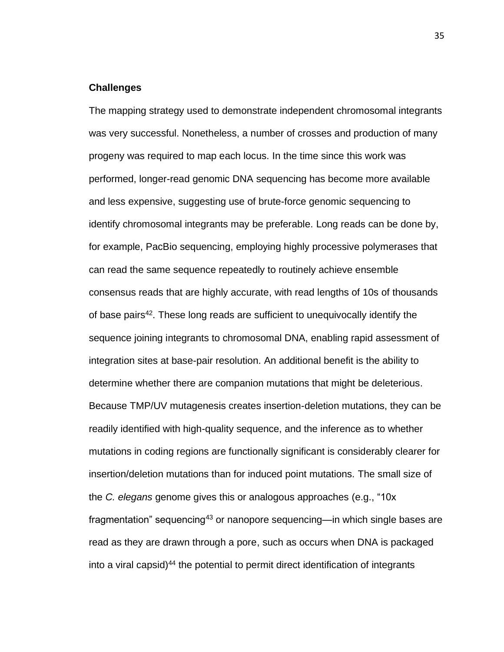#### **Challenges**

The mapping strategy used to demonstrate independent chromosomal integrants was very successful. Nonetheless, a number of crosses and production of many progeny was required to map each locus. In the time since this work was performed, longer-read genomic DNA sequencing has become more available and less expensive, suggesting use of brute-force genomic sequencing to identify chromosomal integrants may be preferable. Long reads can be done by, for example, PacBio sequencing, employing highly processive polymerases that can read the same sequence repeatedly to routinely achieve ensemble consensus reads that are highly accurate, with read lengths of 10s of thousands of base pairs<sup>42</sup>. These long reads are sufficient to unequivocally identify the sequence joining integrants to chromosomal DNA, enabling rapid assessment of integration sites at base-pair resolution. An additional benefit is the ability to determine whether there are companion mutations that might be deleterious. Because TMP/UV mutagenesis creates insertion-deletion mutations, they can be readily identified with high-quality sequence, and the inference as to whether mutations in coding regions are functionally significant is considerably clearer for insertion/deletion mutations than for induced point mutations. The small size of the *C. elegans* genome gives this or analogous approaches (e.g., "10x fragmentation" sequencing<sup>43</sup> or nanopore sequencing—in which single bases are read as they are drawn through a pore, such as occurs when DNA is packaged into a viral capsid)<sup>44</sup> the potential to permit direct identification of integrants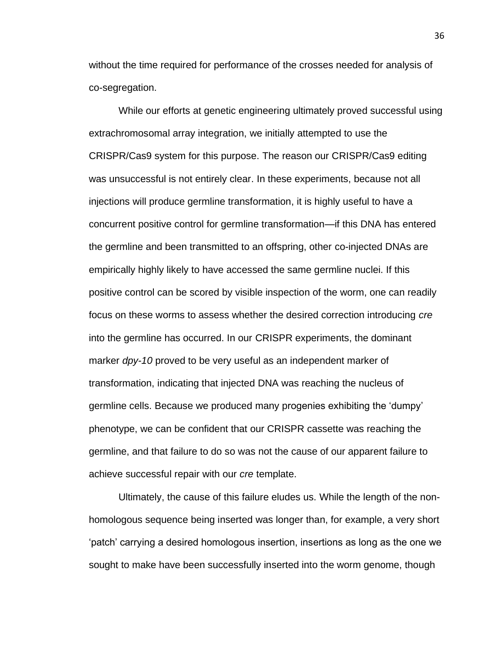without the time required for performance of the crosses needed for analysis of co-segregation.

While our efforts at genetic engineering ultimately proved successful using extrachromosomal array integration, we initially attempted to use the CRISPR/Cas9 system for this purpose. The reason our CRISPR/Cas9 editing was unsuccessful is not entirely clear. In these experiments, because not all injections will produce germline transformation, it is highly useful to have a concurrent positive control for germline transformation—if this DNA has entered the germline and been transmitted to an offspring, other co-injected DNAs are empirically highly likely to have accessed the same germline nuclei. If this positive control can be scored by visible inspection of the worm, one can readily focus on these worms to assess whether the desired correction introducing *cre* into the germline has occurred. In our CRISPR experiments, the dominant marker *dpy-10* proved to be very useful as an independent marker of transformation, indicating that injected DNA was reaching the nucleus of germline cells. Because we produced many progenies exhibiting the 'dumpy' phenotype, we can be confident that our CRISPR cassette was reaching the germline, and that failure to do so was not the cause of our apparent failure to achieve successful repair with our *cre* template.

Ultimately, the cause of this failure eludes us. While the length of the nonhomologous sequence being inserted was longer than, for example, a very short 'patch' carrying a desired homologous insertion, insertions as long as the one we sought to make have been successfully inserted into the worm genome, though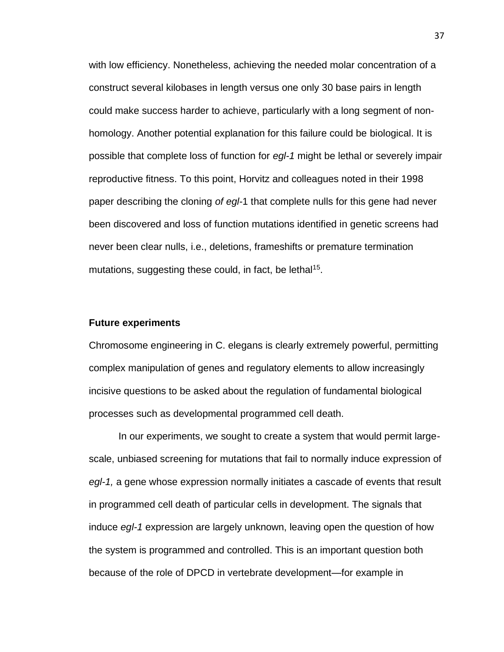with low efficiency. Nonetheless, achieving the needed molar concentration of a construct several kilobases in length versus one only 30 base pairs in length could make success harder to achieve, particularly with a long segment of nonhomology. Another potential explanation for this failure could be biological. It is possible that complete loss of function for *egl-1* might be lethal or severely impair reproductive fitness. To this point, Horvitz and colleagues noted in their 1998 paper describing the cloning *of egl-*1 that complete nulls for this gene had never been discovered and loss of function mutations identified in genetic screens had never been clear nulls, i.e., deletions, frameshifts or premature termination mutations, suggesting these could, in fact, be lethal<sup>15</sup>.

#### **Future experiments**

Chromosome engineering in C. elegans is clearly extremely powerful, permitting complex manipulation of genes and regulatory elements to allow increasingly incisive questions to be asked about the regulation of fundamental biological processes such as developmental programmed cell death.

In our experiments, we sought to create a system that would permit largescale, unbiased screening for mutations that fail to normally induce expression of *egl-1,* a gene whose expression normally initiates a cascade of events that result in programmed cell death of particular cells in development. The signals that induce *egl-1* expression are largely unknown, leaving open the question of how the system is programmed and controlled. This is an important question both because of the role of DPCD in vertebrate development—for example in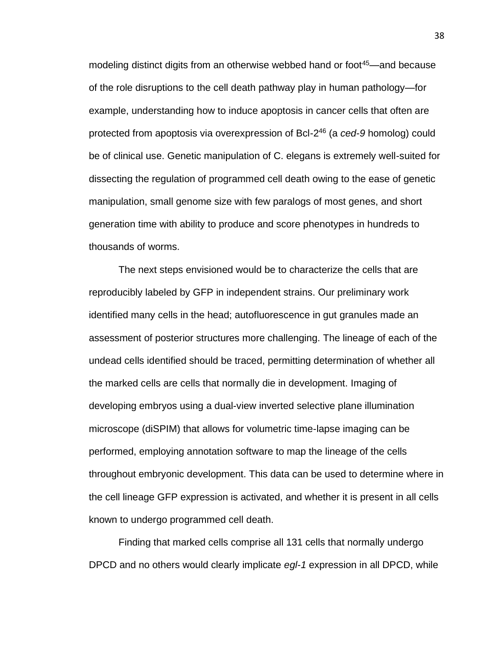modeling distinct digits from an otherwise webbed hand or foot<sup>45</sup>—and because of the role disruptions to the cell death pathway play in human pathology—for example, understanding how to induce apoptosis in cancer cells that often are protected from apoptosis via overexpression of Bcl-2 <sup>46</sup> (a *ced-9* homolog) could be of clinical use. Genetic manipulation of C. elegans is extremely well-suited for dissecting the regulation of programmed cell death owing to the ease of genetic manipulation, small genome size with few paralogs of most genes, and short generation time with ability to produce and score phenotypes in hundreds to thousands of worms.

The next steps envisioned would be to characterize the cells that are reproducibly labeled by GFP in independent strains. Our preliminary work identified many cells in the head; autofluorescence in gut granules made an assessment of posterior structures more challenging. The lineage of each of the undead cells identified should be traced, permitting determination of whether all the marked cells are cells that normally die in development. Imaging of developing embryos using a dual-view inverted selective plane illumination microscope (diSPIM) that allows for volumetric time-lapse imaging can be performed, employing annotation software to map the lineage of the cells throughout embryonic development. This data can be used to determine where in the cell lineage GFP expression is activated, and whether it is present in all cells known to undergo programmed cell death.

Finding that marked cells comprise all 131 cells that normally undergo DPCD and no others would clearly implicate *egl-1* expression in all DPCD, while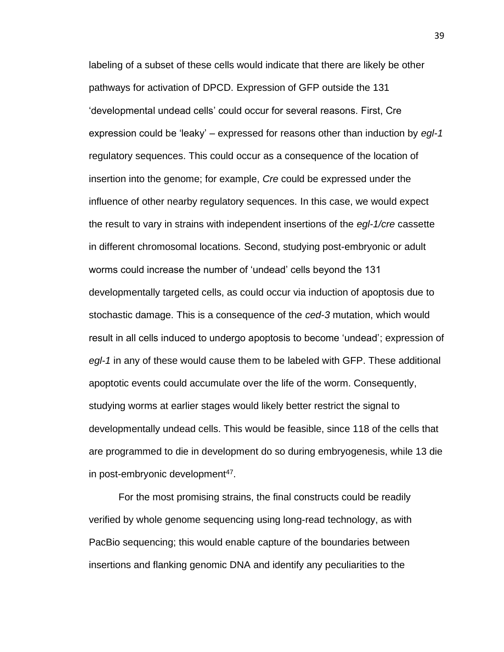labeling of a subset of these cells would indicate that there are likely be other pathways for activation of DPCD. Expression of GFP outside the 131 'developmental undead cells' could occur for several reasons. First, Cre expression could be 'leaky' – expressed for reasons other than induction by *egl-1* regulatory sequences. This could occur as a consequence of the location of insertion into the genome; for example, *Cre* could be expressed under the influence of other nearby regulatory sequences. In this case, we would expect the result to vary in strains with independent insertions of the *egl-1/cre* cassette in different chromosomal locations*.* Second, studying post-embryonic or adult worms could increase the number of 'undead' cells beyond the 131 developmentally targeted cells, as could occur via induction of apoptosis due to stochastic damage. This is a consequence of the *ced-3* mutation, which would result in all cells induced to undergo apoptosis to become 'undead'; expression of *egl-1* in any of these would cause them to be labeled with GFP. These additional apoptotic events could accumulate over the life of the worm. Consequently, studying worms at earlier stages would likely better restrict the signal to developmentally undead cells. This would be feasible, since 118 of the cells that are programmed to die in development do so during embryogenesis, while 13 die in post-embryonic development<sup>47</sup>.

For the most promising strains, the final constructs could be readily verified by whole genome sequencing using long-read technology, as with PacBio sequencing; this would enable capture of the boundaries between insertions and flanking genomic DNA and identify any peculiarities to the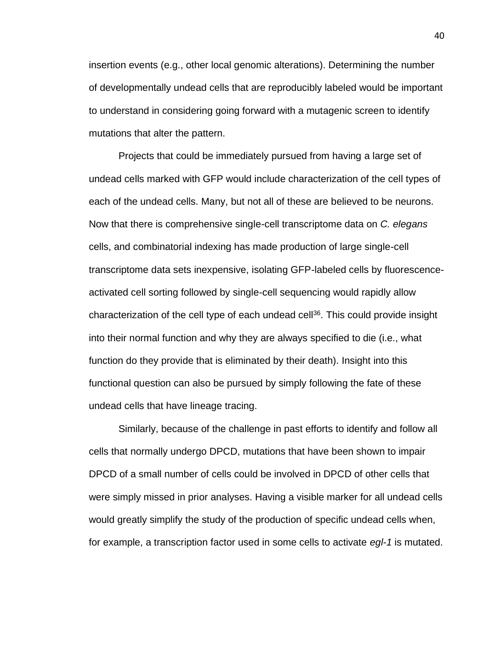insertion events (e.g., other local genomic alterations). Determining the number of developmentally undead cells that are reproducibly labeled would be important to understand in considering going forward with a mutagenic screen to identify mutations that alter the pattern.

Projects that could be immediately pursued from having a large set of undead cells marked with GFP would include characterization of the cell types of each of the undead cells. Many, but not all of these are believed to be neurons. Now that there is comprehensive single-cell transcriptome data on *C. elegans* cells, and combinatorial indexing has made production of large single-cell transcriptome data sets inexpensive, isolating GFP-labeled cells by fluorescenceactivated cell sorting followed by single-cell sequencing would rapidly allow characterization of the cell type of each undead cell<sup>36</sup>. This could provide insight into their normal function and why they are always specified to die (i.e., what function do they provide that is eliminated by their death). Insight into this functional question can also be pursued by simply following the fate of these undead cells that have lineage tracing.

Similarly, because of the challenge in past efforts to identify and follow all cells that normally undergo DPCD, mutations that have been shown to impair DPCD of a small number of cells could be involved in DPCD of other cells that were simply missed in prior analyses. Having a visible marker for all undead cells would greatly simplify the study of the production of specific undead cells when, for example, a transcription factor used in some cells to activate *egl-1* is mutated.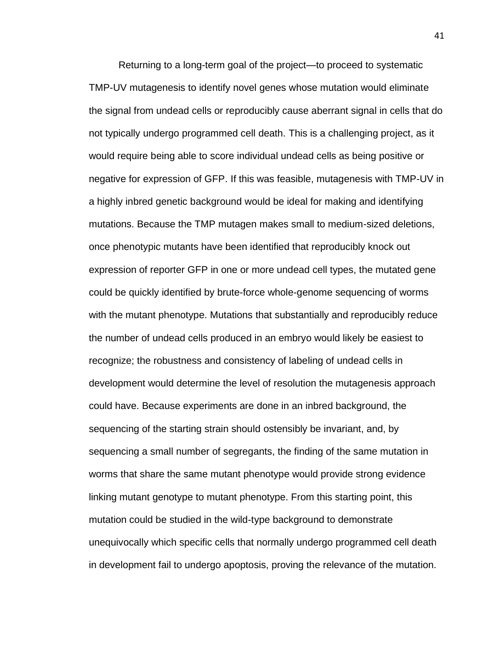Returning to a long-term goal of the project—to proceed to systematic TMP-UV mutagenesis to identify novel genes whose mutation would eliminate the signal from undead cells or reproducibly cause aberrant signal in cells that do not typically undergo programmed cell death. This is a challenging project, as it would require being able to score individual undead cells as being positive or negative for expression of GFP. If this was feasible, mutagenesis with TMP-UV in a highly inbred genetic background would be ideal for making and identifying mutations. Because the TMP mutagen makes small to medium-sized deletions, once phenotypic mutants have been identified that reproducibly knock out expression of reporter GFP in one or more undead cell types, the mutated gene could be quickly identified by brute-force whole-genome sequencing of worms with the mutant phenotype. Mutations that substantially and reproducibly reduce the number of undead cells produced in an embryo would likely be easiest to recognize; the robustness and consistency of labeling of undead cells in development would determine the level of resolution the mutagenesis approach could have. Because experiments are done in an inbred background, the sequencing of the starting strain should ostensibly be invariant, and, by sequencing a small number of segregants, the finding of the same mutation in worms that share the same mutant phenotype would provide strong evidence linking mutant genotype to mutant phenotype. From this starting point, this mutation could be studied in the wild-type background to demonstrate unequivocally which specific cells that normally undergo programmed cell death in development fail to undergo apoptosis, proving the relevance of the mutation.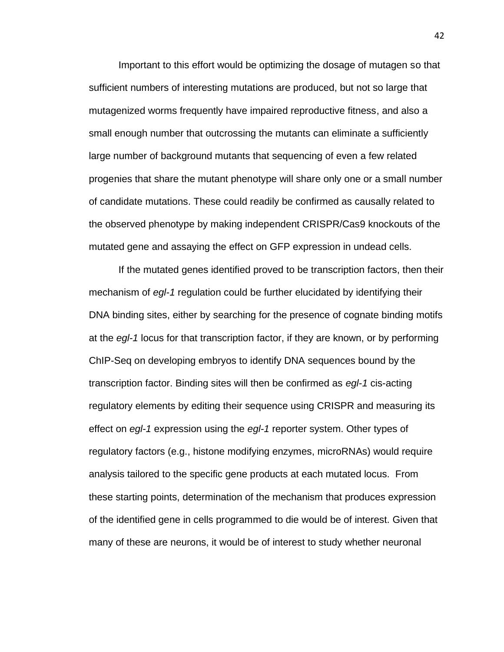Important to this effort would be optimizing the dosage of mutagen so that sufficient numbers of interesting mutations are produced, but not so large that mutagenized worms frequently have impaired reproductive fitness, and also a small enough number that outcrossing the mutants can eliminate a sufficiently large number of background mutants that sequencing of even a few related progenies that share the mutant phenotype will share only one or a small number of candidate mutations. These could readily be confirmed as causally related to the observed phenotype by making independent CRISPR/Cas9 knockouts of the mutated gene and assaying the effect on GFP expression in undead cells.

If the mutated genes identified proved to be transcription factors, then their mechanism of *egl-1* regulation could be further elucidated by identifying their DNA binding sites, either by searching for the presence of cognate binding motifs at the *egl-1* locus for that transcription factor, if they are known, or by performing ChIP-Seq on developing embryos to identify DNA sequences bound by the transcription factor. Binding sites will then be confirmed as *egl-1* cis-acting regulatory elements by editing their sequence using CRISPR and measuring its effect on *egl-1* expression using the *egl-1* reporter system. Other types of regulatory factors (e.g., histone modifying enzymes, microRNAs) would require analysis tailored to the specific gene products at each mutated locus. From these starting points, determination of the mechanism that produces expression of the identified gene in cells programmed to die would be of interest. Given that many of these are neurons, it would be of interest to study whether neuronal

42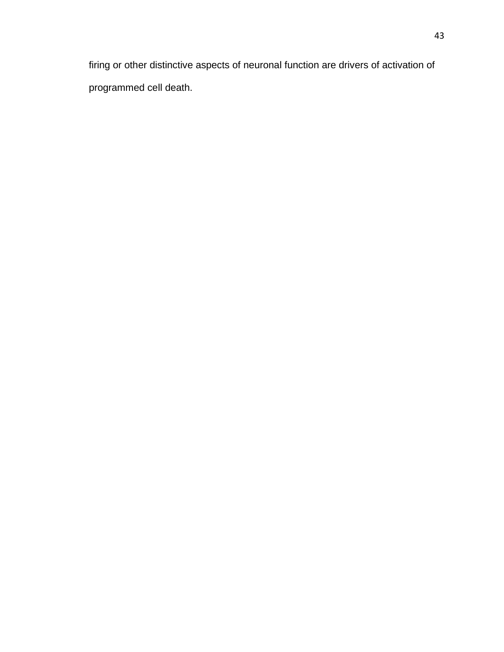firing or other distinctive aspects of neuronal function are drivers of activation of programmed cell death.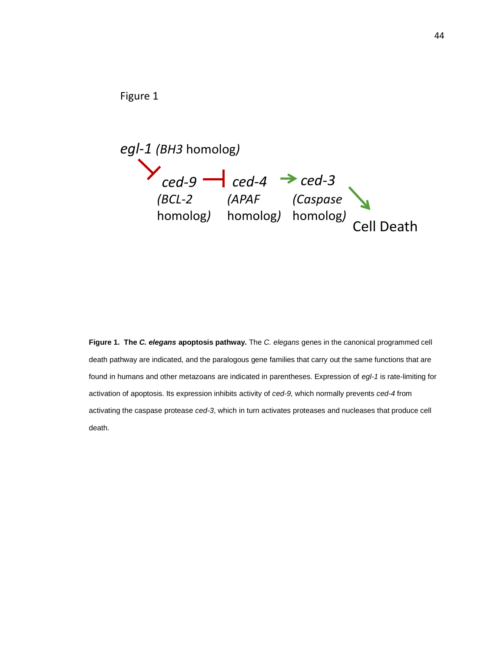



**Figure 1. The** *C. elegans* **apoptosis pathway.** The *C. elegans* genes in the canonical programmed cell death pathway are indicated, and the paralogous gene families that carry out the same functions that are found in humans and other metazoans are indicated in parentheses. Expression of *egl-1* is rate-limiting for activation of apoptosis. Its expression inhibits activity of *ced-9,* which normally prevents *ced-4* from activating the caspase protease *ced-3*, which in turn activates proteases and nucleases that produce cell death.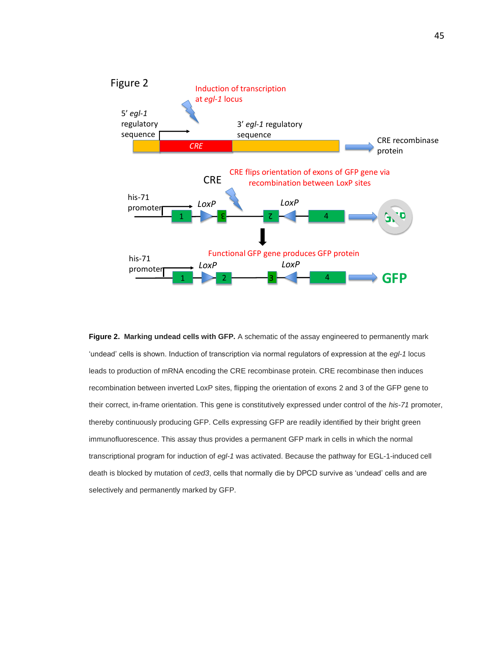

**Figure 2. Marking undead cells with GFP.** A schematic of the assay engineered to permanently mark 'undead' cells is shown. Induction of transcription via normal regulators of expression at the *egl-1* locus leads to production of mRNA encoding the CRE recombinase protein. CRE recombinase then induces recombination between inverted LoxP sites, flipping the orientation of exons 2 and 3 of the GFP gene to their correct, in-frame orientation. This gene is constitutively expressed under control of the *his-71* promoter, thereby continuously producing GFP. Cells expressing GFP are readily identified by their bright green immunofluorescence. This assay thus provides a permanent GFP mark in cells in which the normal transcriptional program for induction of *egl-1* was activated. Because the pathway for EGL-1-induced cell death is blocked by mutation of *ced3*, cells that normally die by DPCD survive as 'undead' cells and are selectively and permanently marked by GFP.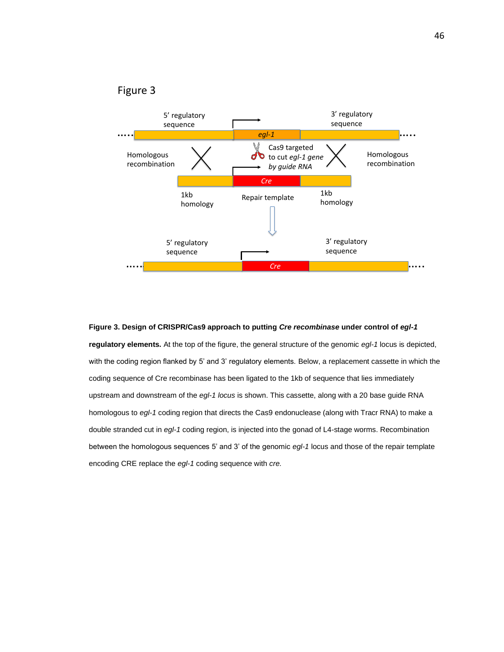

Figure 3

## **Figure 3. Design of CRISPR/Cas9 approach to putting** *Cre recombinase* **under control of** *egl-1*  **regulatory elements.** At the top of the figure, the general structure of the genomic *egl-1* locus is depicted, with the coding region flanked by 5' and 3' regulatory elements. Below, a replacement cassette in which the coding sequence of Cre recombinase has been ligated to the 1kb of sequence that lies immediately upstream and downstream of the *egl-1 locus* is shown. This cassette, along with a 20 base guide RNA homologous to *egl-1* coding region that directs the Cas9 endonuclease (along with Tracr RNA) to make a double stranded cut in *egl-1* coding region, is injected into the gonad of L4-stage worms. Recombination between the homologous sequences 5' and 3' of the genomic *egl-1* locus and those of the repair template encoding CRE replace the *egl-1* coding sequence with *cre.*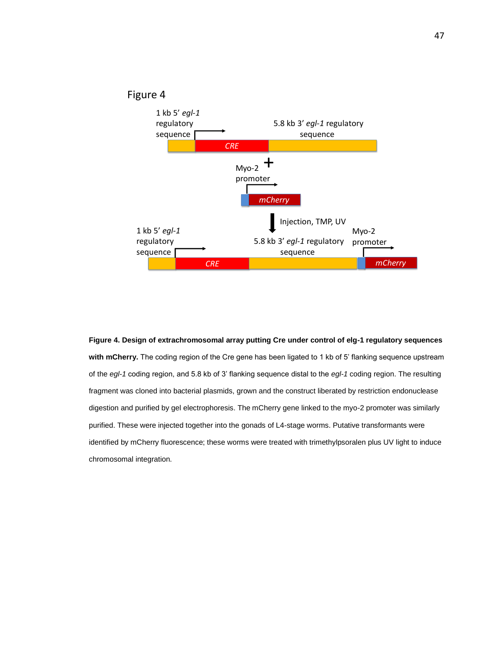#### Figure 4



**Figure 4. Design of extrachromosomal array putting Cre under control of elg-1 regulatory sequences with mCherry.** The coding region of the Cre gene has been ligated to 1 kb of 5' flanking sequence upstream of the *egl-1* coding region, and 5.8 kb of 3' flanking sequence distal to the *egl-1* coding region. The resulting fragment was cloned into bacterial plasmids, grown and the construct liberated by restriction endonuclease digestion and purified by gel electrophoresis. The mCherry gene linked to the myo-2 promoter was similarly purified. These were injected together into the gonads of L4-stage worms. Putative transformants were identified by mCherry fluorescence; these worms were treated with trimethylpsoralen plus UV light to induce chromosomal integration.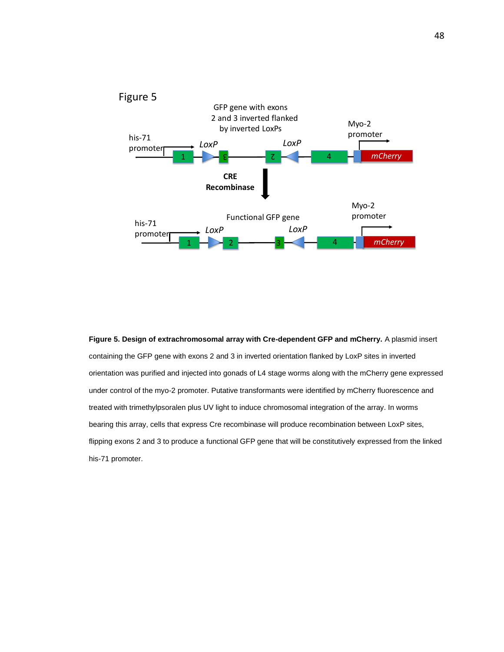

**Figure 5. Design of extrachromosomal array with Cre-dependent GFP and mCherry.** A plasmid insert containing the GFP gene with exons 2 and 3 in inverted orientation flanked by LoxP sites in inverted orientation was purified and injected into gonads of L4 stage worms along with the mCherry gene expressed under control of the myo-2 promoter. Putative transformants were identified by mCherry fluorescence and treated with trimethylpsoralen plus UV light to induce chromosomal integration of the array. In worms bearing this array, cells that express Cre recombinase will produce recombination between LoxP sites, flipping exons 2 and 3 to produce a functional GFP gene that will be constitutively expressed from the linked his-71 promoter.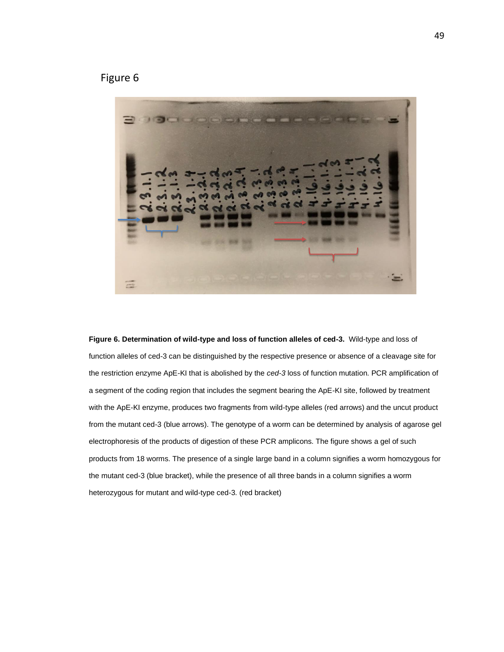Figure 6



**Figure 6. Determination of wild-type and loss of function alleles of ced-3.** Wild-type and loss of function alleles of ced-3 can be distinguished by the respective presence or absence of a cleavage site for the restriction enzyme ApE-KI that is abolished by the *ced-3* loss of function mutation. PCR amplification of a segment of the coding region that includes the segment bearing the ApE-KI site, followed by treatment with the ApE-KI enzyme, produces two fragments from wild-type alleles (red arrows) and the uncut product from the mutant ced-3 (blue arrows). The genotype of a worm can be determined by analysis of agarose gel electrophoresis of the products of digestion of these PCR amplicons. The figure shows a gel of such products from 18 worms. The presence of a single large band in a column signifies a worm homozygous for the mutant ced-3 (blue bracket), while the presence of all three bands in a column signifies a worm heterozygous for mutant and wild-type ced-3. (red bracket)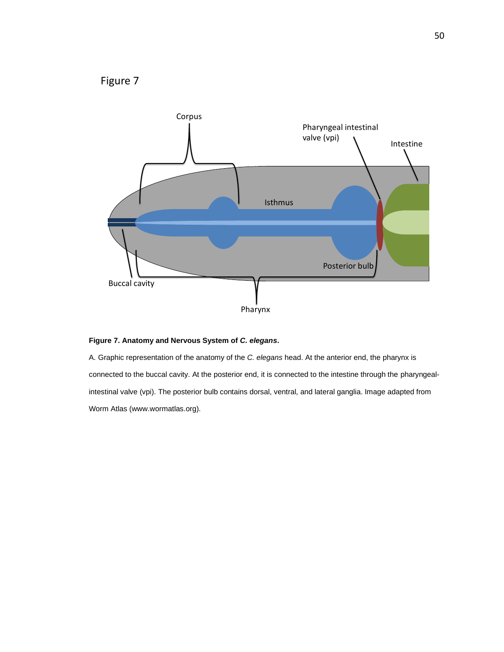



#### **Figure 7. Anatomy and Nervous System of** *C. elegans***.**

A. Graphic representation of the anatomy of the *C. elegans* head. At the anterior end, the pharynx is connected to the buccal cavity. At the posterior end, it is connected to the intestine through the pharyngealintestinal valve (vpi). The posterior bulb contains dorsal, ventral, and lateral ganglia. Image adapted from Worm Atlas (www.wormatlas.org).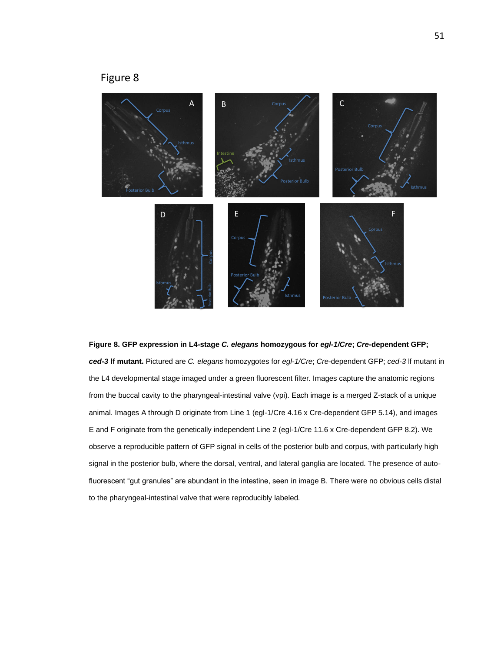### Figure 8



#### **Figure 8. GFP expression in L4-stage** *C. elegans* **homozygous for** *egl-1/Cre***;** *Cre***-dependent GFP;**

*ced-3* **lf mutant.** Pictured are *C. elegans* homozygotes for *egl-1/Cre*; *Cre*-dependent GFP; *ced-3* lf mutant in the L4 developmental stage imaged under a green fluorescent filter. Images capture the anatomic regions from the buccal cavity to the pharyngeal-intestinal valve (vpi). Each image is a merged Z-stack of a unique animal. Images A through D originate from Line 1 (egl-1/Cre 4.16 x Cre-dependent GFP 5.14), and images E and F originate from the genetically independent Line 2 (egl-1/Cre 11.6 x Cre-dependent GFP 8.2). We observe a reproducible pattern of GFP signal in cells of the posterior bulb and corpus, with particularly high signal in the posterior bulb, where the dorsal, ventral, and lateral ganglia are located. The presence of autofluorescent "gut granules" are abundant in the intestine, seen in image B. There were no obvious cells distal to the pharyngeal-intestinal valve that were reproducibly labeled.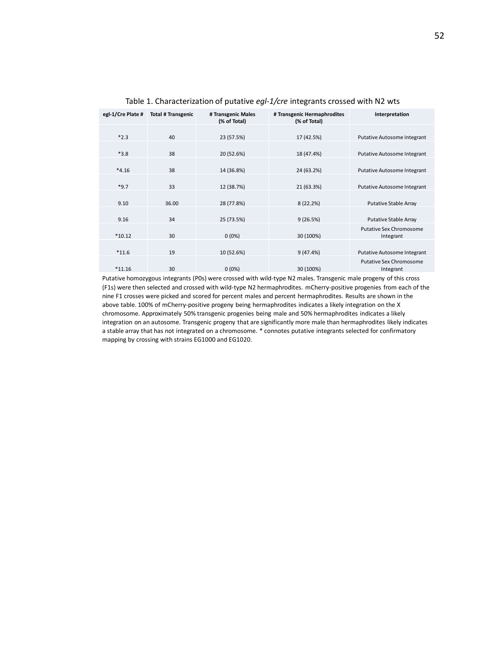| egl-1/Cre Plate # | <b>Total # Transgenic</b> | # Transgenic Males<br>(% of Total) | # Transgenic Hermaphrodites<br>(% of Total) | Interpretation                              |
|-------------------|---------------------------|------------------------------------|---------------------------------------------|---------------------------------------------|
| $*2.3$            | 40                        | 23 (57.5%)                         | 17 (42.5%)                                  | Putative Autosome Integrant                 |
| $*3.8$            | 38                        | 20 (52.6%)                         | 18 (47.4%)                                  | Putative Autosome Integrant                 |
| $*4.16$           | 38                        | 14 (36.8%)                         | 24 (63.2%)                                  | Putative Autosome Integrant                 |
| $*9.7$            | 33                        | 12 (38.7%)                         | 21 (63.3%)                                  | Putative Autosome Integrant                 |
| 9.10              | 36.00                     | 28 (77.8%)                         | 8(22.2%)                                    | <b>Putative Stable Array</b>                |
| 9.16              | 34                        | 25 (73.5%)                         | 9(26.5%)                                    | <b>Putative Stable Array</b>                |
| $*10.12$          | 30                        | $0(0\%)$                           | 30 (100%)                                   | <b>Putative Sex Chromosome</b><br>Integrant |
| $*11.6$           | 19                        | 10 (52.6%)                         | 9(47.4%)                                    | Putative Autosome Integrant                 |
| $*11.16$          | 30                        | $0(0\%)$                           | 30 (100%)                                   | <b>Putative Sex Chromosome</b><br>Integrant |

Table 1. Characterization of putative *egl-1/cre* integrants crossed with N2 wts

Putative homozygous integrants (P0s) were crossed with wild-type N2 males. Transgenic male progeny of this cross (F1s) were then selected and crossed with wild-type N2 hermaphrodites. mCherry-positive progenies from each of the nine F1 crosses were picked and scored for percent males and percent hermaphrodites. Results are shown in the above table. 100% of mCherry-positive progeny being hermaphrodites indicates a likely integration on the X chromosome. Approximately 50% transgenic progenies being male and 50% hermaphrodites indicates a likely integration on an autosome. Transgenic progeny that are significantly more male than hermaphrodites likely indicates a stable array that has not integrated on a chromosome. \* connotes putative integrants selected for confirmatory mapping by crossing with strains EG1000 and EG1020.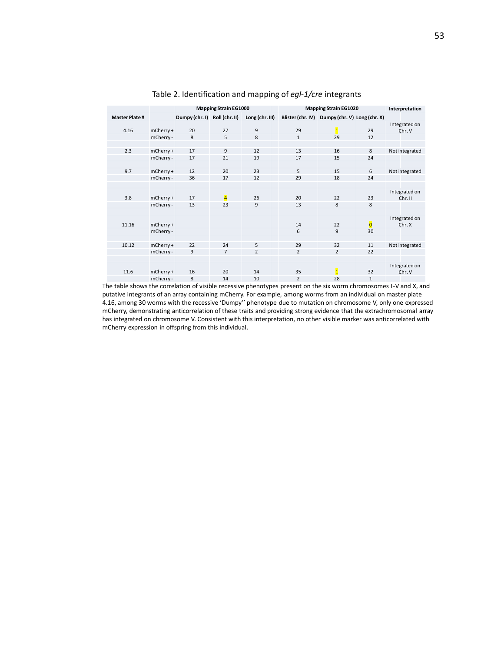|                      |           | <b>Mapping Strain EG1000</b>  |                         |                 | <b>Mapping Strain EG1020</b> | Interpretation                                 |                         |                          |
|----------------------|-----------|-------------------------------|-------------------------|-----------------|------------------------------|------------------------------------------------|-------------------------|--------------------------|
| <b>Master Plate#</b> |           | Dumpy (chr. I) Roll (chr. II) |                         | Long (chr. III) |                              | Blister (chr. IV) Dumpy (chr. V) Long (chr. X) |                         |                          |
|                      |           |                               |                         |                 |                              |                                                |                         | Integrated on            |
| 4.16                 | mCherry+  | 20                            | 27                      | 9               | 29                           | $\overline{\mathbf{1}}$                        | 29                      | Chr. V                   |
|                      | mCherry-  | 8                             | 5                       | 8               | $\mathbf{1}$                 | 29                                             | 12                      |                          |
|                      |           |                               |                         |                 |                              |                                                |                         |                          |
| 2.3                  | mCherry+  | 17                            | 9                       | 12              | 13                           | 16                                             | 8                       | Not integrated           |
|                      | mCherry-  | 17                            | 21                      | 19              | 17                           | 15                                             | 24                      |                          |
|                      |           |                               |                         |                 |                              |                                                |                         |                          |
| 9.7                  | mCherry+  | 12                            | 20                      | 23              | 5                            | 15                                             | 6                       | Not integrated           |
|                      | mCherry - | 36                            | 17                      | 12              | 29                           | 18                                             | 24                      |                          |
|                      |           |                               |                         |                 |                              |                                                |                         |                          |
| 3.8                  | mCherry+  | 17                            | $\overline{\mathbf{4}}$ | 26              | 20                           | 22                                             | 23                      | Integrated on<br>Chr. II |
|                      | mCherry - | 13                            | 23                      | 9               | 13                           | 8                                              | 8                       |                          |
|                      |           |                               |                         |                 |                              |                                                |                         |                          |
|                      |           |                               |                         |                 |                              |                                                |                         | Integrated on            |
| 11.16                | mCherry+  |                               |                         |                 | 14                           | 22                                             | $\overline{\mathbf{0}}$ | Chr. X                   |
|                      | mCherry-  |                               |                         |                 | 6                            | 9                                              | 30                      |                          |
|                      |           |                               |                         |                 |                              |                                                |                         |                          |
| 10.12                | mCherry + | 22                            | 24                      | 5               | 29                           | 32                                             | 11                      | Not integrated           |
|                      | mCherry - | 9                             | $\overline{7}$          | $\overline{2}$  | $\overline{2}$               | $\overline{2}$                                 | 22                      |                          |
|                      |           |                               |                         |                 |                              |                                                |                         |                          |
|                      |           |                               |                         |                 |                              |                                                |                         | Integrated on            |
| 11.6                 | mCherry + | 16                            | 20                      | 14              | 35                           | $\overline{\mathbf{1}}$                        | 32                      | Chr. V                   |
|                      | mCherry-  | 8                             | 14                      | 10              | 2                            | 28                                             | $\mathbf{1}$            |                          |

Table 2. Identification and mapping of *egl-1/cre* integrants

The table shows the correlation of visible recessive phenotypes present on the six worm chromosomes I-V and X, and putative integrants of an array containing mCherry. For example, among worms from an individual on master plate 4.16, among 30 worms with the recessive 'Dumpy'' phenotype due to mutation on chromosome V, only one expressed mCherry, demonstrating anticorrelation of these traits and providing strong evidence that the extrachromosomal array has integrated on chromosome V. Consistent with this interpretation, no other visible marker was anticorrelated with mCherry expression in offspring from this individual.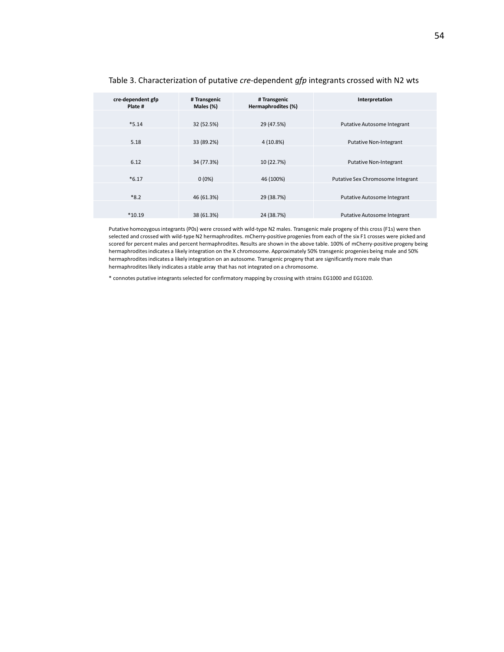| cre-dependent gfp<br># Transgenic<br>Interpretation<br># Transgenic<br>Hermaphrodites (%)<br>Males (%)<br>Plate #<br>$*5.14$<br>29 (47.5%)<br>32 (52.5%)<br>Putative Autosome Integrant<br>5.18<br>33 (89.2%)<br>4 (10.8%)<br><b>Putative Non-Integrant</b><br>6.12<br>34 (77.3%)<br>10 (22.7%)<br><b>Putative Non-Integrant</b><br>$*6.17$<br>$0(0\%)$<br>46 (100%)<br>Putative Sex Chromosome Integrant<br>$*8.2$<br>29 (38.7%)<br>46 (61.3%)<br><b>Putative Autosome Integrant</b><br>$*10.19$<br>24 (38.7%)<br>38 (61.3%)<br>Putative Autosome Integrant |  |  |  |  |  |
|--------------------------------------------------------------------------------------------------------------------------------------------------------------------------------------------------------------------------------------------------------------------------------------------------------------------------------------------------------------------------------------------------------------------------------------------------------------------------------------------------------------------------------------------------------------|--|--|--|--|--|
|                                                                                                                                                                                                                                                                                                                                                                                                                                                                                                                                                              |  |  |  |  |  |
|                                                                                                                                                                                                                                                                                                                                                                                                                                                                                                                                                              |  |  |  |  |  |
|                                                                                                                                                                                                                                                                                                                                                                                                                                                                                                                                                              |  |  |  |  |  |
|                                                                                                                                                                                                                                                                                                                                                                                                                                                                                                                                                              |  |  |  |  |  |
|                                                                                                                                                                                                                                                                                                                                                                                                                                                                                                                                                              |  |  |  |  |  |
|                                                                                                                                                                                                                                                                                                                                                                                                                                                                                                                                                              |  |  |  |  |  |
|                                                                                                                                                                                                                                                                                                                                                                                                                                                                                                                                                              |  |  |  |  |  |
|                                                                                                                                                                                                                                                                                                                                                                                                                                                                                                                                                              |  |  |  |  |  |
|                                                                                                                                                                                                                                                                                                                                                                                                                                                                                                                                                              |  |  |  |  |  |
|                                                                                                                                                                                                                                                                                                                                                                                                                                                                                                                                                              |  |  |  |  |  |
|                                                                                                                                                                                                                                                                                                                                                                                                                                                                                                                                                              |  |  |  |  |  |

#### Table 3. Characterization of putative *cre*-dependent *gfp* integrants crossed with N2 wts

Putative homozygous integrants (P0s) were crossed with wild-type N2 males. Transgenic male progeny of this cross (F1s) were then selected and crossed with wild-type N2 hermaphrodites. mCherry-positive progenies from each of the six F1 crosses were picked and scored for percent males and percent hermaphrodites. Results are shown in the above table. 100% of mCherry-positive progeny being hermaphrodites indicates a likely integration on the X chromosome. Approximately 50% transgenic progenies being male and 50% hermaphrodites indicates a likely integration on an autosome. Transgenic progeny that are significantly more male than hermaphrodites likely indicates a stable array that has not integrated on a chromosome.

\* connotes putative integrants selected for confirmatory mapping by crossing with strains EG1000 and EG1020.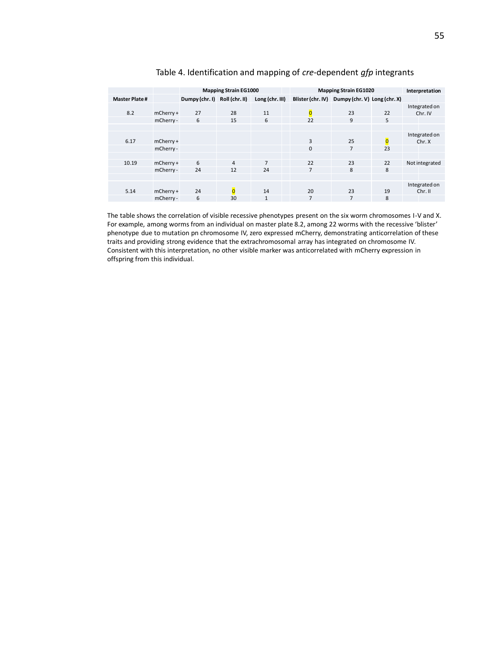|                      |             | <b>Mapping Strain EG1000</b>  |                |                 | <b>Mapping Strain EG1020</b> | Interpretation                                 |                         |                |
|----------------------|-------------|-------------------------------|----------------|-----------------|------------------------------|------------------------------------------------|-------------------------|----------------|
| <b>Master Plate#</b> |             | Dumpy (chr. I) Roll (chr. II) |                | Long (chr. III) |                              | Blister (chr. IV) Dumpy (chr. V) Long (chr. X) |                         |                |
|                      |             |                               |                |                 |                              |                                                |                         | Integrated on  |
| 8.2                  | $mCherry +$ | 27                            | 28             | 11              | $\overline{0}$               | 23                                             | 22                      | Chr. IV        |
|                      | mCherry -   | 6                             | 15             | 6               | 22                           | 9                                              | 5                       |                |
|                      |             |                               |                |                 |                              |                                                |                         |                |
|                      |             |                               |                |                 |                              |                                                |                         | Integrated on  |
| 6.17                 | $mCherry +$ |                               |                |                 | 3                            | 25                                             | $\overline{\mathbf{0}}$ | Chr. X         |
|                      | mCherry -   |                               |                |                 | $\mathbf{0}$                 | 7                                              | 23                      |                |
|                      |             |                               |                |                 |                              |                                                |                         |                |
| 10.19                | $mCherry +$ | 6                             | $\overline{4}$ | $\overline{7}$  | 22                           | 23                                             | 22                      | Not integrated |
|                      | mCherry -   | 24                            | 12             | 24              | $\overline{7}$               | 8                                              | 8                       |                |
|                      |             |                               |                |                 |                              |                                                |                         |                |
|                      |             |                               |                |                 |                              |                                                |                         | Integrated on  |
| 5.14                 | $mCherry +$ | 24                            | $\overline{0}$ | 14              | 20                           | 23                                             | 19                      | Chr. II        |
|                      | mCherry -   | 6                             | 30             | 1               | 7                            | 7                                              | 8                       |                |

#### Table 4. Identification and mapping of *cre-*dependent *gfp* integrants

The table shows the correlation of visible recessive phenotypes present on the six worm chromosomes I-V and X. For example, among worms from an individual on master plate 8.2, among 22 worms with the recessive 'blister' phenotype due to mutation pn chromosome IV, zero expressed mCherry, demonstrating anticorrelation of these traits and providing strong evidence that the extrachromosomal array has integrated on chromosome IV. Consistent with this interpretation, no other visible marker was anticorrelated with mCherry expression in offspring from this individual.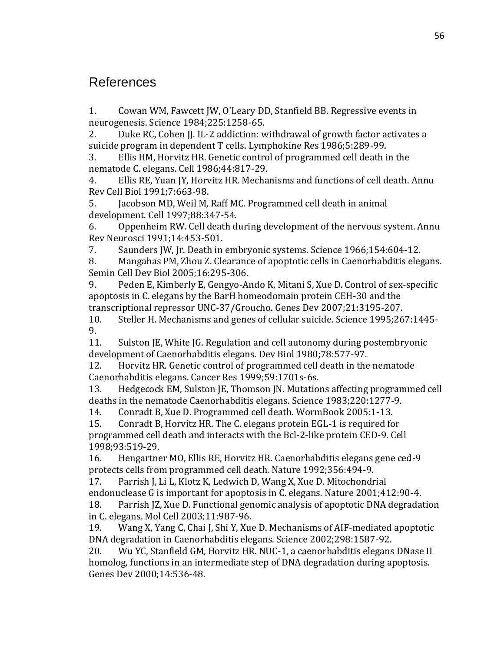### References

1. Cowan WM, Fawcett JW, O'Leary DD, Stanfield BB. Regressive events in neurogenesis. Science 1984;225:1258-65.

2. Duke RC, Cohen JJ. IL-2 addiction: withdrawal of growth factor activates a suicide program in dependent T cells. Lymphokine Res 1986;5:289-99.

3. Ellis HM, Horvitz HR. Genetic control of programmed cell death in the nematode C. elegans. Cell 1986;44:817-29.

4. Ellis RE, Yuan JY, Horvitz HR. Mechanisms and functions of cell death. Annu Rev Cell Biol 1991;7:663-98.

5. Jacobson MD, Weil M, Raff MC. Programmed cell death in animal development. Cell 1997;88:347-54.

6. Oppenheim RW. Cell death during development of the nervous system. Annu Rev Neurosci 1991;14:453-501.

7. Saunders JW, Jr. Death in embryonic systems. Science 1966;154:604-12.

8. Mangahas PM, Zhou Z. Clearance of apoptotic cells in Caenorhabditis elegans. Semin Cell Dev Biol 2005;16:295-306.

9. Peden E, Kimberly E, Gengyo-Ando K, Mitani S, Xue D. Control of sex-specific apoptosis in C. elegans by the BarH homeodomain protein CEH-30 and the transcriptional repressor UNC-37/Groucho. Genes Dev 2007;21:3195-207.

10. Steller H. Mechanisms and genes of cellular suicide. Science 1995;267:1445- 9.

11. Sulston JE, White JG. Regulation and cell autonomy during postembryonic development of Caenorhabditis elegans. Dev Biol 1980;78:577-97.

12. Horvitz HR. Genetic control of programmed cell death in the nematode Caenorhabditis elegans. Cancer Res 1999;59:1701s-6s.

13. Hedgecock EM, Sulston JE, Thomson JN. Mutations affecting programmed cell deaths in the nematode Caenorhabditis elegans. Science 1983;220:1277-9.

14. Conradt B, Xue D. Programmed cell death. WormBook 2005:1-13.

15. Conradt B, Horvitz HR. The C. elegans protein EGL-1 is required for programmed cell death and interacts with the Bcl-2-like protein CED-9. Cell 1998;93:519-29.

16. Hengartner MO, Ellis RE, Horvitz HR. Caenorhabditis elegans gene ced-9 protects cells from programmed cell death. Nature 1992;356:494-9.

17. Parrish J, Li L, Klotz K, Ledwich D, Wang X, Xue D. Mitochondrial endonuclease G is important for apoptosis in C. elegans. Nature 2001;412:90-4.

18. Parrish JZ, Xue D. Functional genomic analysis of apoptotic DNA degradation in C. elegans. Mol Cell 2003;11:987-96.

19. Wang X, Yang C, Chai J, Shi Y, Xue D. Mechanisms of AIF-mediated apoptotic DNA degradation in Caenorhabditis elegans. Science 2002;298:1587-92.

20. Wu YC, Stanfield GM, Horvitz HR. NUC-1, a caenorhabditis elegans DNase II homolog, functions in an intermediate step of DNA degradation during apoptosis. Genes Dev 2000;14:536-48.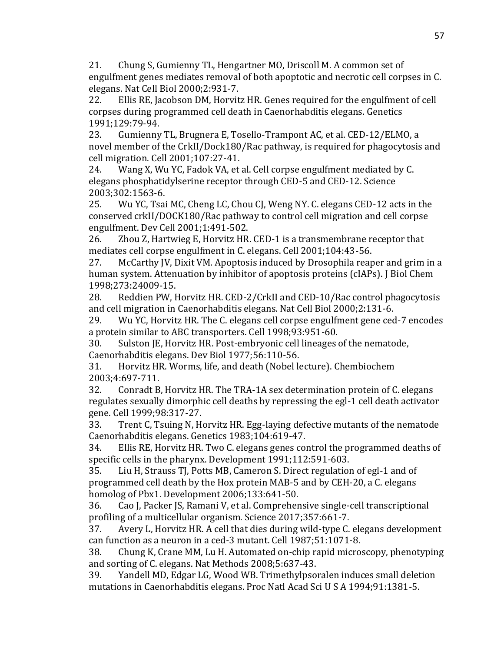21. Chung S, Gumienny TL, Hengartner MO, Driscoll M. A common set of engulfment genes mediates removal of both apoptotic and necrotic cell corpses in C. elegans. Nat Cell Biol 2000;2:931-7.

22. Ellis RE, Jacobson DM, Horvitz HR. Genes required for the engulfment of cell corpses during programmed cell death in Caenorhabditis elegans. Genetics 1991;129:79-94.

23. Gumienny TL, Brugnera E, Tosello-Trampont AC, et al. CED-12/ELMO, a novel member of the CrkII/Dock180/Rac pathway, is required for phagocytosis and cell migration. Cell 2001;107:27-41.

24. Wang X, Wu YC, Fadok VA, et al. Cell corpse engulfment mediated by C. elegans phosphatidylserine receptor through CED-5 and CED-12. Science 2003;302:1563-6.

25. Wu YC, Tsai MC, Cheng LC, Chou CJ, Weng NY. C. elegans CED-12 acts in the conserved crkII/DOCK180/Rac pathway to control cell migration and cell corpse engulfment. Dev Cell 2001;1:491-502.

26. Zhou Z, Hartwieg E, Horvitz HR. CED-1 is a transmembrane receptor that mediates cell corpse engulfment in C. elegans. Cell 2001;104:43-56.

27. McCarthy JV, Dixit VM. Apoptosis induced by Drosophila reaper and grim in a human system. Attenuation by inhibitor of apoptosis proteins (cIAPs). J Biol Chem 1998;273:24009-15.

28. Reddien PW, Horvitz HR. CED-2/CrkII and CED-10/Rac control phagocytosis and cell migration in Caenorhabditis elegans. Nat Cell Biol 2000;2:131-6.

29. Wu YC, Horvitz HR. The C. elegans cell corpse engulfment gene ced-7 encodes a protein similar to ABC transporters. Cell 1998;93:951-60.

30. Sulston JE, Horvitz HR. Post-embryonic cell lineages of the nematode, Caenorhabditis elegans. Dev Biol 1977;56:110-56.

31. Horvitz HR. Worms, life, and death (Nobel lecture). Chembiochem 2003;4:697-711.

32. Conradt B, Horvitz HR. The TRA-1A sex determination protein of C. elegans regulates sexually dimorphic cell deaths by repressing the egl-1 cell death activator gene. Cell 1999;98:317-27.

33. Trent C, Tsuing N, Horvitz HR. Egg-laying defective mutants of the nematode Caenorhabditis elegans. Genetics 1983;104:619-47.

34. Ellis RE, Horvitz HR. Two C. elegans genes control the programmed deaths of specific cells in the pharynx. Development 1991;112:591-603.

35. Liu H, Strauss TJ, Potts MB, Cameron S. Direct regulation of egl-1 and of programmed cell death by the Hox protein MAB-5 and by CEH-20, a C. elegans homolog of Pbx1. Development 2006;133:641-50.

36. Cao J, Packer JS, Ramani V, et al. Comprehensive single-cell transcriptional profiling of a multicellular organism. Science 2017;357:661-7.

37. Avery L, Horvitz HR. A cell that dies during wild-type C. elegans development can function as a neuron in a ced-3 mutant. Cell 1987;51:1071-8.

38. Chung K, Crane MM, Lu H. Automated on-chip rapid microscopy, phenotyping and sorting of C. elegans. Nat Methods 2008;5:637-43.

39. Yandell MD, Edgar LG, Wood WB. Trimethylpsoralen induces small deletion mutations in Caenorhabditis elegans. Proc Natl Acad Sci U S A 1994;91:1381-5.